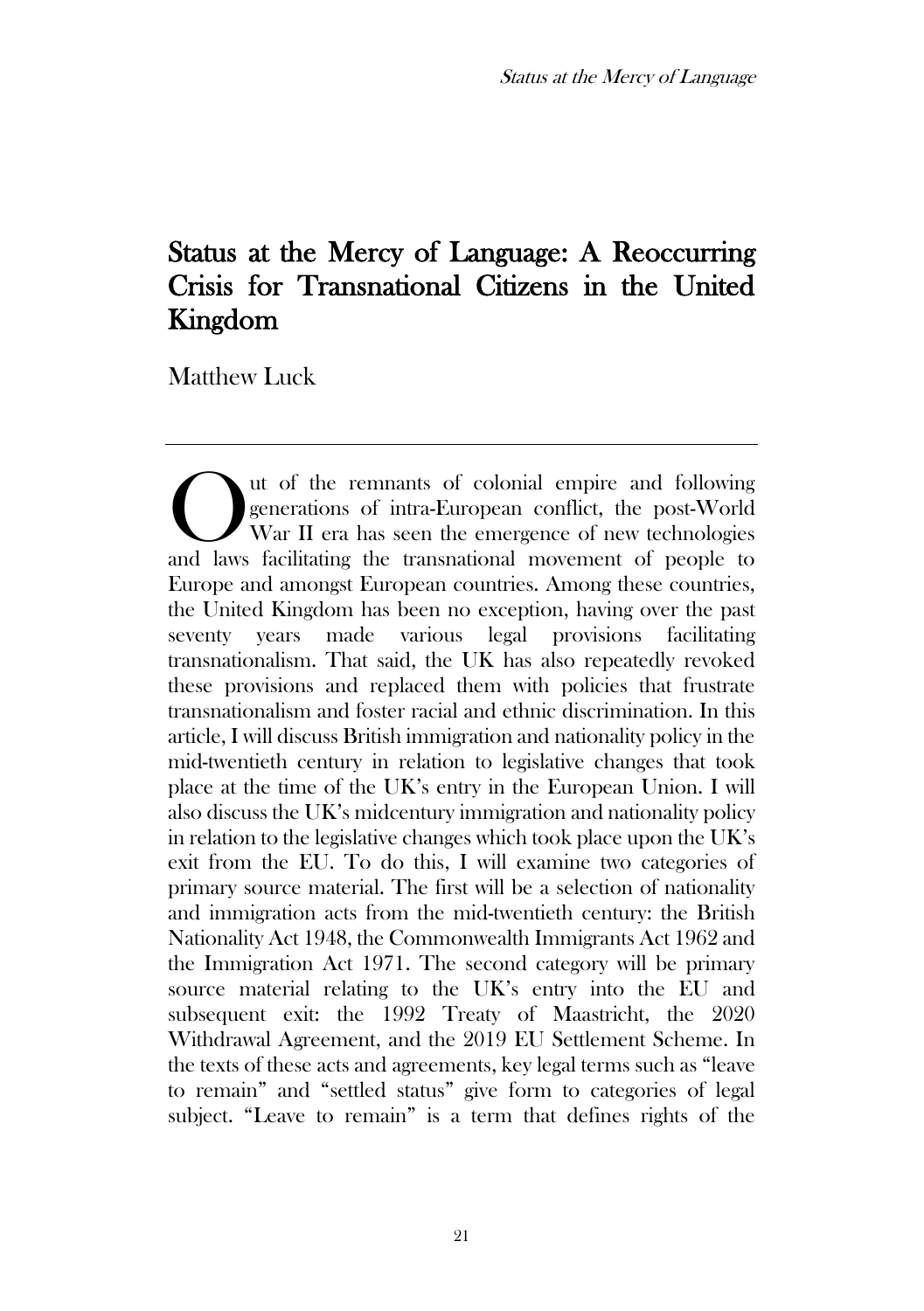# Status at the Mercy of Language: A Reoccurring Crisis for Transnational Citizens in the United Kingdom

Matthew Luck

ut of the remnants of colonial empire and following generations of intra-European conflict, the post-World War II era has seen the emergence of new technologies The vention of the remnants of colonial empire and following generations of intra-European conflict, the post-World War II era has seen the emergence of new technologies and laws facilitating the transnational movement of Europe and amongst European countries. Among these countries, the United Kingdom has been no exception, having over the past seventy years made various legal provisions facilitating transnationalism. That said, the UK has also repeatedly revoked these provisions and replaced them with policies that frustrate transnationalism and foster racial and ethnic discrimination. In this article, I will discuss British immigration and nationality policy in the mid-twentieth century in relation to legislative changes that took place at the time of the UK's entry in the European Union. I will also discuss the UK's midcentury immigration and nationality policy in relation to the legislative changes which took place upon the UK's exit from the EU. To do this, I will examine two categories of primary source material. The first will be a selection of nationality and immigration acts from the mid-twentieth century: the British Nationality Act 1948, the Commonwealth Immigrants Act 1962 and the Immigration Act 1971. The second category will be primary source material relating to the UK's entry into the EU and subsequent exit: the 1992 Treaty of Maastricht, the 2020 Withdrawal Agreement, and the 2019 EU Settlement Scheme. In the texts of these acts and agreements, key legal terms such as "leave to remain" and "settled status" give form to categories of legal subject. "Leave to remain" is a term that defines rights of the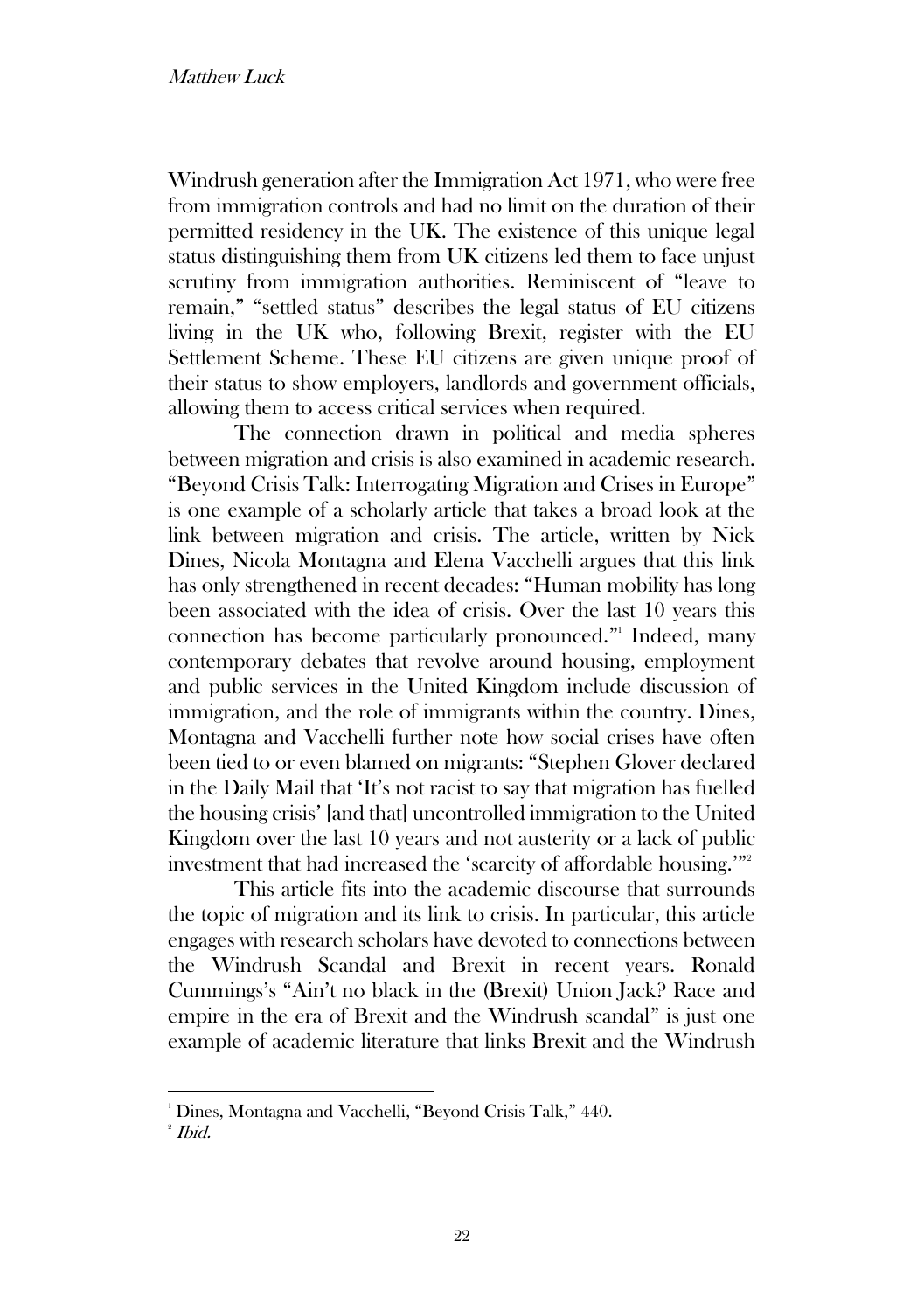### Matthew Luck

Windrush generation after the Immigration Act 1971, who were free from immigration controls and had no limit on the duration of their permitted residency in the UK. The existence of this unique legal status distinguishing them from UK citizens led them to face unjust scrutiny from immigration authorities. Reminiscent of "leave to remain," "settled status" describes the legal status of EU citizens living in the UK who, following Brexit, register with the EU Settlement Scheme. These EU citizens are given unique proof of their status to show employers, landlords and government officials, allowing them to access critical services when required.

The connection drawn in political and media spheres between migration and crisis is also examined in academic research. "Beyond Crisis Talk: Interrogating Migration and Crises in Europe" is one example of a scholarly article that takes a broad look at the link between migration and crisis. The article, written by Nick Dines, Nicola Montagna and Elena Vacchelli argues that this link has only strengthened in recent decades: "Human mobility has long been associated with the idea of crisis. Over the last 10 years this connection has become particularly pronounced." 1 Indeed, many contemporary debates that revolve around housing, employment and public services in the United Kingdom include discussion of immigration, and the role of immigrants within the country. Dines, Montagna and Vacchelli further note how social crises have often been tied to or even blamed on migrants: "Stephen Glover declared in the Daily Mail that 'It's not racist to say that migration has fuelled the housing crisis' [and that] uncontrolled immigration to the United Kingdom over the last 10 years and not austerity or a lack of public investment that had increased the 'scarcity of affordable housing.'"<sup>2</sup>

This article fits into the academic discourse that surrounds the topic of migration and its link to crisis. In particular, this article engages with research scholars have devoted to connections between the Windrush Scandal and Brexit in recent years. Ronald Cummings's "Ain't no black in the (Brexit) Union Jack? Race and empire in the era of Brexit and the Windrush scandal" is just one example of academic literature that links Brexit and the Windrush

<sup>&</sup>lt;sup>1</sup> Dines, Montagna and Vacchelli, "Beyond Crisis Talk," 440.

 $^{\circ}$  Ibid.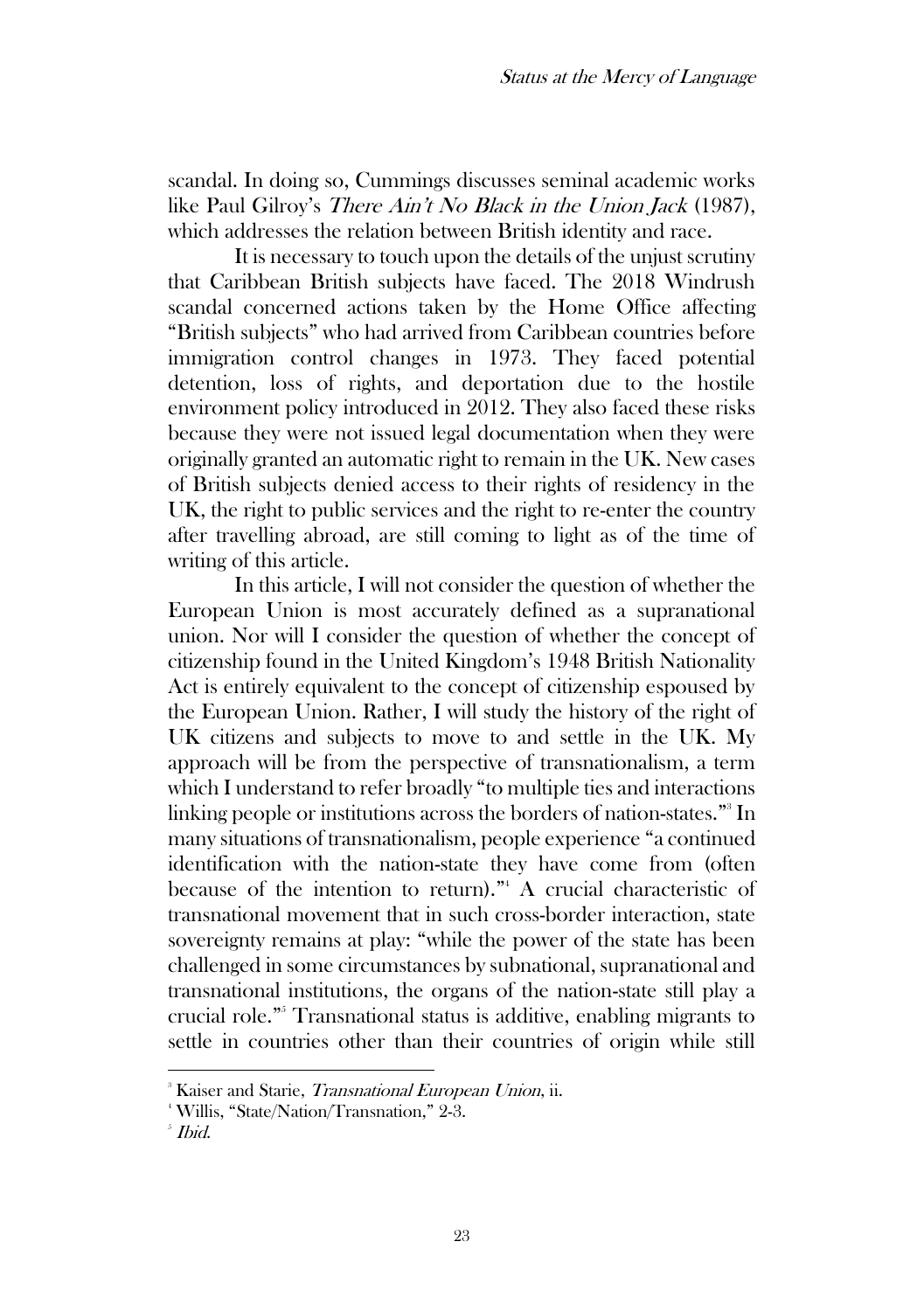scandal. In doing so, Cummings discusses seminal academic works like Paul Gilroy's *There Ain't No Black in the Union Jack* (1987), which addresses the relation between British identity and race.

It is necessary to touch upon the details of the unjust scrutiny that Caribbean British subjects have faced. The 2018 Windrush scandal concerned actions taken by the Home Office affecting "British subjects" who had arrived from Caribbean countries before immigration control changes in 1973. They faced potential detention, loss of rights, and deportation due to the hostile environment policy introduced in 2012. They also faced these risks because they were not issued legal documentation when they were originally granted an automatic right to remain in the UK. New cases of British subjects denied access to their rights of residency in the UK, the right to public services and the right to re-enter the country after travelling abroad, are still coming to light as of the time of writing of this article.

In this article, I will not consider the question of whether the European Union is most accurately defined as a supranational union. Nor will I consider the question of whether the concept of citizenship found in the United Kingdom's 1948 British Nationality Act is entirely equivalent to the concept of citizenship espoused by the European Union. Rather, I will study the history of the right of UK citizens and subjects to move to and settle in the UK. My approach will be from the perspective of transnationalism, a term which I understand to refer broadly "to multiple ties and interactions linking people or institutions across the borders of nation-states."<sup>3</sup> In many situations of transnationalism, people experience "a continued identification with the nation-state they have come from (often because of the intention to return)."<sup>4</sup> A crucial characteristic of transnational movement that in such cross-border interaction, state sovereignty remains at play: "while the power of the state has been challenged in some circumstances by subnational, supranational and transnational institutions, the organs of the nation-state still play a crucial role." <sup>5</sup> Transnational status is additive, enabling migrants to settle in countries other than their countries of origin while still

<sup>&</sup>lt;sup>3</sup> Kaiser and Starie, *Transnational European Union*, ii.

<sup>4</sup> Willis, "State/Nation/Transnation," 2-3.

 $^{\circ}$  Ibid.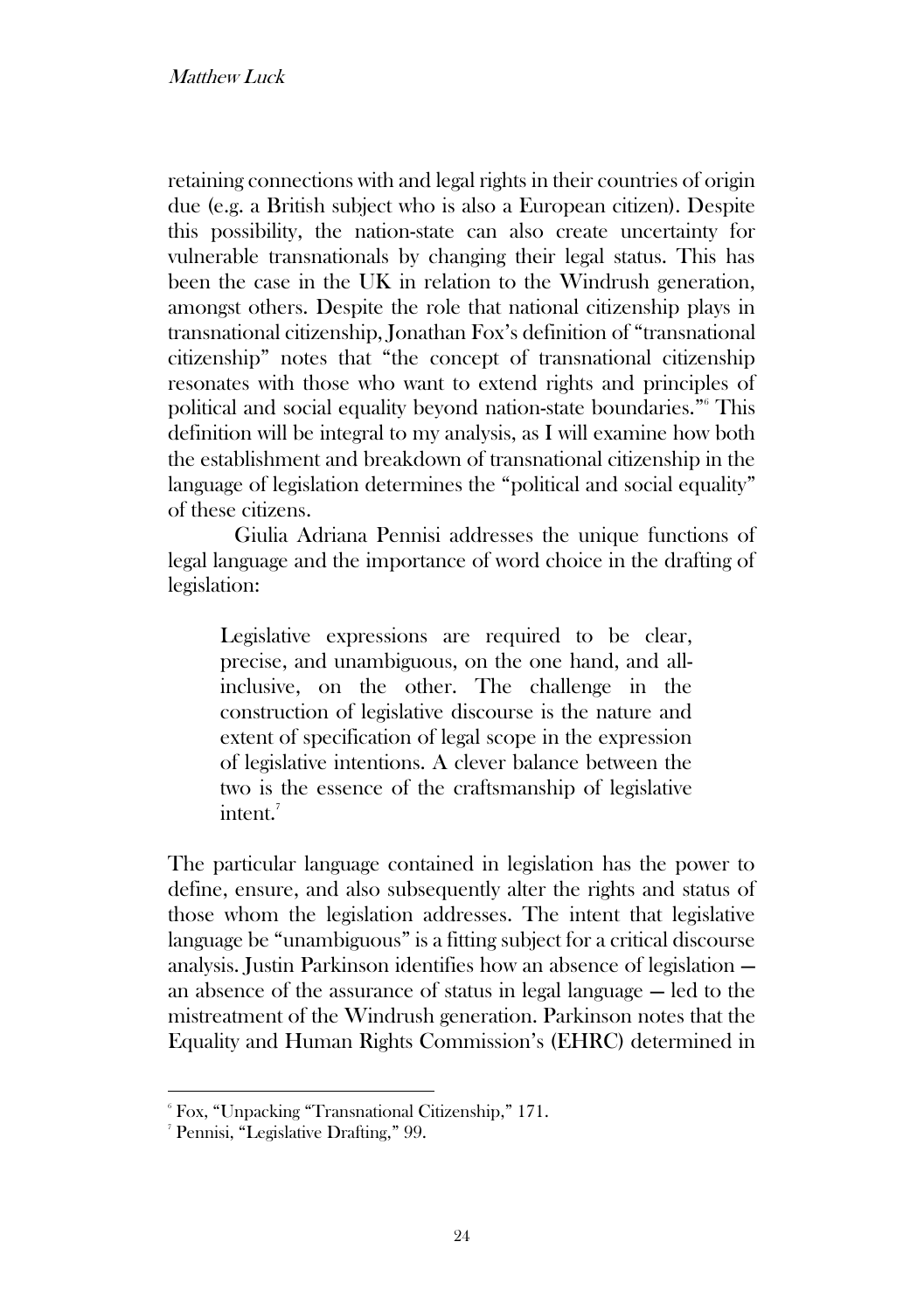retaining connections with and legal rights in their countries of origin due (e.g. a British subject who is also a European citizen). Despite this possibility, the nation-state can also create uncertainty for vulnerable transnationals by changing their legal status. This has been the case in the UK in relation to the Windrush generation, amongst others. Despite the role that national citizenship plays in transnational citizenship, Jonathan Fox's definition of "transnational citizenship" notes that "the concept of transnational citizenship resonates with those who want to extend rights and principles of political and social equality beyond nation-state boundaries." <sup>6</sup> This definition will be integral to my analysis, as I will examine how both the establishment and breakdown of transnational citizenship in the language of legislation determines the "political and social equality" of these citizens.

Giulia Adriana Pennisi addresses the unique functions of legal language and the importance of word choice in the drafting of legislation:

Legislative expressions are required to be clear, precise, and unambiguous, on the one hand, and allinclusive, on the other. The challenge in the construction of legislative discourse is the nature and extent of specification of legal scope in the expression of legislative intentions. A clever balance between the two is the essence of the craftsmanship of legislative intent.<sup>7</sup>

The particular language contained in legislation has the power to define, ensure, and also subsequently alter the rights and status of those whom the legislation addresses. The intent that legislative language be "unambiguous" is a fitting subject for a critical discourse analysis. Justin Parkinson identifies how an absence of legislation an absence of the assurance of status in legal language — led to the mistreatment of the Windrush generation. Parkinson notes that the Equality and Human Rights Commission's (EHRC) determined in

<sup>6</sup> Fox, "Unpacking "Transnational Citizenship," 171.

<sup>7</sup> Pennisi, "Legislative Drafting," 99.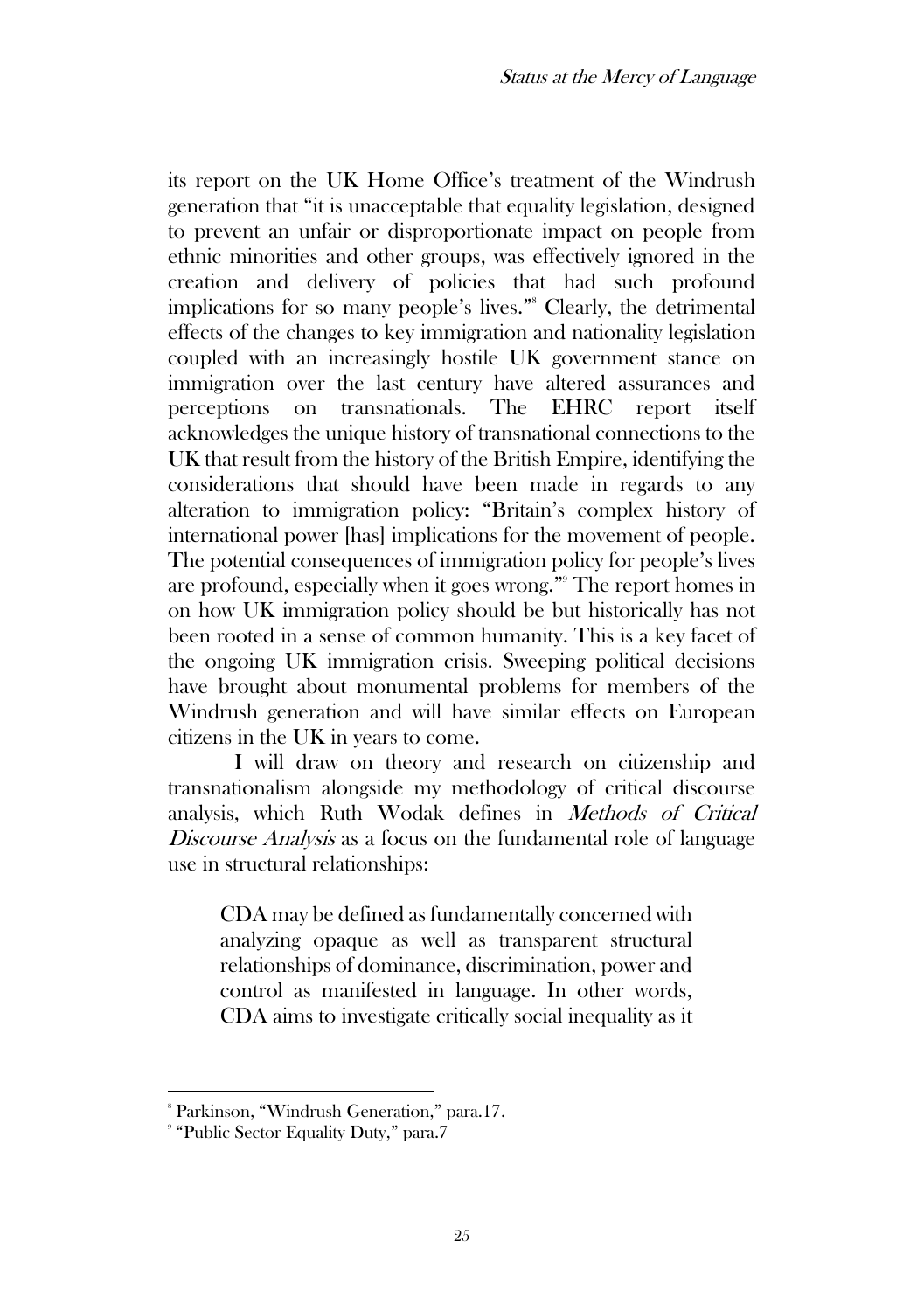its report on the UK Home Office's treatment of the Windrush generation that "it is unacceptable that equality legislation, designed to prevent an unfair or disproportionate impact on people from ethnic minorities and other groups, was effectively ignored in the creation and delivery of policies that had such profound implications for so many people's lives." <sup>8</sup> Clearly, the detrimental effects of the changes to key immigration and nationality legislation coupled with an increasingly hostile UK government stance on immigration over the last century have altered assurances and perceptions on transnationals. The EHRC report itself acknowledges the unique history of transnational connections to the UK that result from the history of the British Empire, identifying the considerations that should have been made in regards to any alteration to immigration policy: "Britain's complex history of international power [has] implications for the movement of people. The potential consequences of immigration policy for people's lives are profound, especially when it goes wrong." <sup>9</sup> The report homes in on how UK immigration policy should be but historically has not been rooted in a sense of common humanity. This is a key facet of the ongoing UK immigration crisis. Sweeping political decisions have brought about monumental problems for members of the Windrush generation and will have similar effects on European citizens in the UK in years to come.

I will draw on theory and research on citizenship and transnationalism alongside my methodology of critical discourse analysis, which Ruth Wodak defines in Methods of Critical Discourse Analysis as a focus on the fundamental role of language use in structural relationships:

CDA may be defined as fundamentally concerned with analyzing opaque as well as transparent structural relationships of dominance, discrimination, power and control as manifested in language. In other words, CDA aims to investigate critically social inequality as it

<sup>8</sup> Parkinson, "Windrush Generation," para.17.

<sup>9</sup> "Public Sector Equality Duty," para.7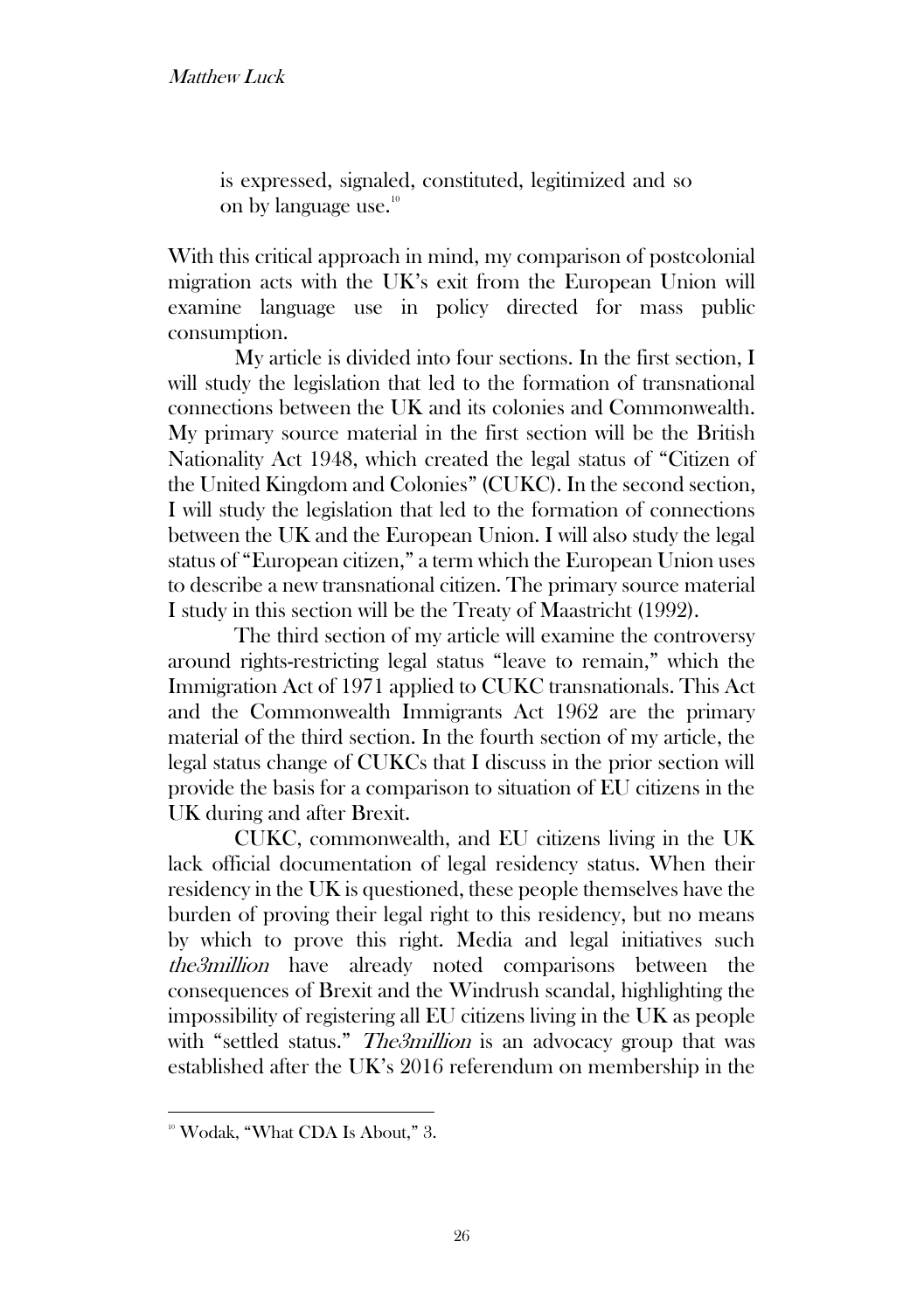is expressed, signaled, constituted, legitimized and so on by language use.<sup>10</sup>

With this critical approach in mind, my comparison of postcolonial migration acts with the UK's exit from the European Union will examine language use in policy directed for mass public consumption.

My article is divided into four sections. In the first section, I will study the legislation that led to the formation of transnational connections between the UK and its colonies and Commonwealth. My primary source material in the first section will be the British Nationality Act 1948, which created the legal status of "Citizen of the United Kingdom and Colonies" (CUKC). In the second section, I will study the legislation that led to the formation of connections between the UK and the European Union. I will also study the legal status of "European citizen," a term which the European Union uses to describe a new transnational citizen. The primary source material I study in this section will be the Treaty of Maastricht (1992).

The third section of my article will examine the controversy around rights-restricting legal status "leave to remain," which the Immigration Act of 1971 applied to CUKC transnationals. This Act and the Commonwealth Immigrants Act 1962 are the primary material of the third section. In the fourth section of my article, the legal status change of CUKCs that I discuss in the prior section will provide the basis for a comparison to situation of EU citizens in the UK during and after Brexit.

CUKC, commonwealth, and EU citizens living in the UK lack official documentation of legal residency status. When their residency in the UK is questioned, these people themselves have the burden of proving their legal right to this residency, but no means by which to prove this right. Media and legal initiatives such the3million have already noted comparisons between the consequences of Brexit and the Windrush scandal, highlighting the impossibility of registering all EU citizens living in the UK as people with "settled status." *The3million* is an advocacy group that was established after the UK's 2016 referendum on membership in the

<sup>&</sup>lt;sup>10</sup> Wodak, "What CDA Is About," 3.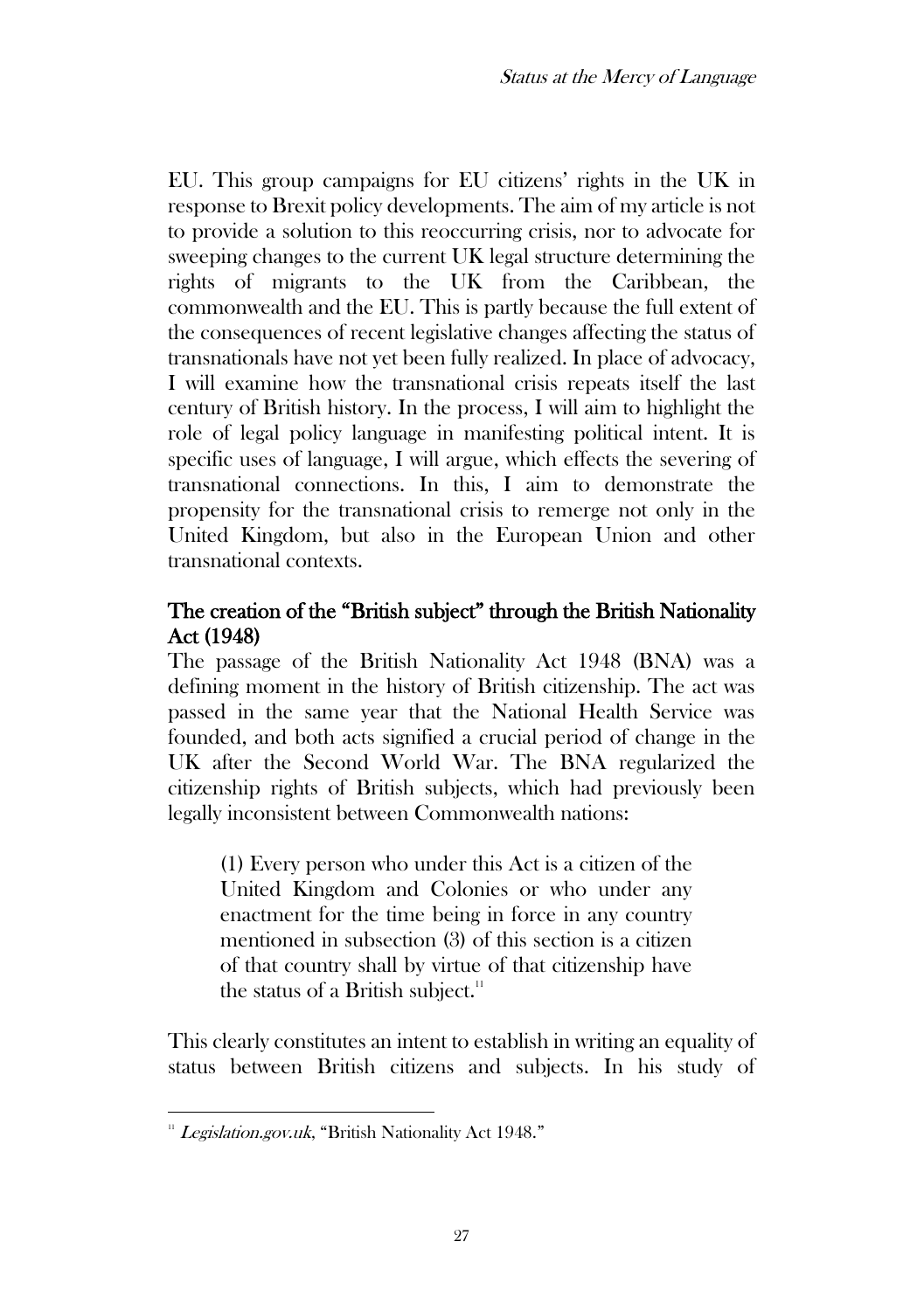EU. This group campaigns for EU citizens' rights in the UK in response to Brexit policy developments. The aim of my article is not to provide a solution to this reoccurring crisis, nor to advocate for sweeping changes to the current UK legal structure determining the rights of migrants to the UK from the Caribbean, the commonwealth and the EU. This is partly because the full extent of the consequences of recent legislative changes affecting the status of transnationals have not yet been fully realized. In place of advocacy, I will examine how the transnational crisis repeats itself the last century of British history. In the process, I will aim to highlight the role of legal policy language in manifesting political intent. It is specific uses of language, I will argue, which effects the severing of transnational connections. In this, I aim to demonstrate the propensity for the transnational crisis to remerge not only in the United Kingdom, but also in the European Union and other transnational contexts.

# The creation of the "British subject" through the British Nationality Act (1948)

The passage of the British Nationality Act 1948 (BNA) was a defining moment in the history of British citizenship. The act was passed in the same year that the National Health Service was founded, and both acts signified a crucial period of change in the UK after the Second World War. The BNA regularized the citizenship rights of British subjects, which had previously been legally inconsistent between Commonwealth nations:

(1) Every person who under this Act is a citizen of the United Kingdom and Colonies or who under any enactment for the time being in force in any country mentioned in subsection (3) of this section is a citizen of that country shall by virtue of that citizenship have the status of a British subject.<sup>11</sup>

This clearly constitutes an intent to establish in writing an equality of status between British citizens and subjects. In his study of

 $11$  Legislation.gov.uk, "British Nationality Act 1948."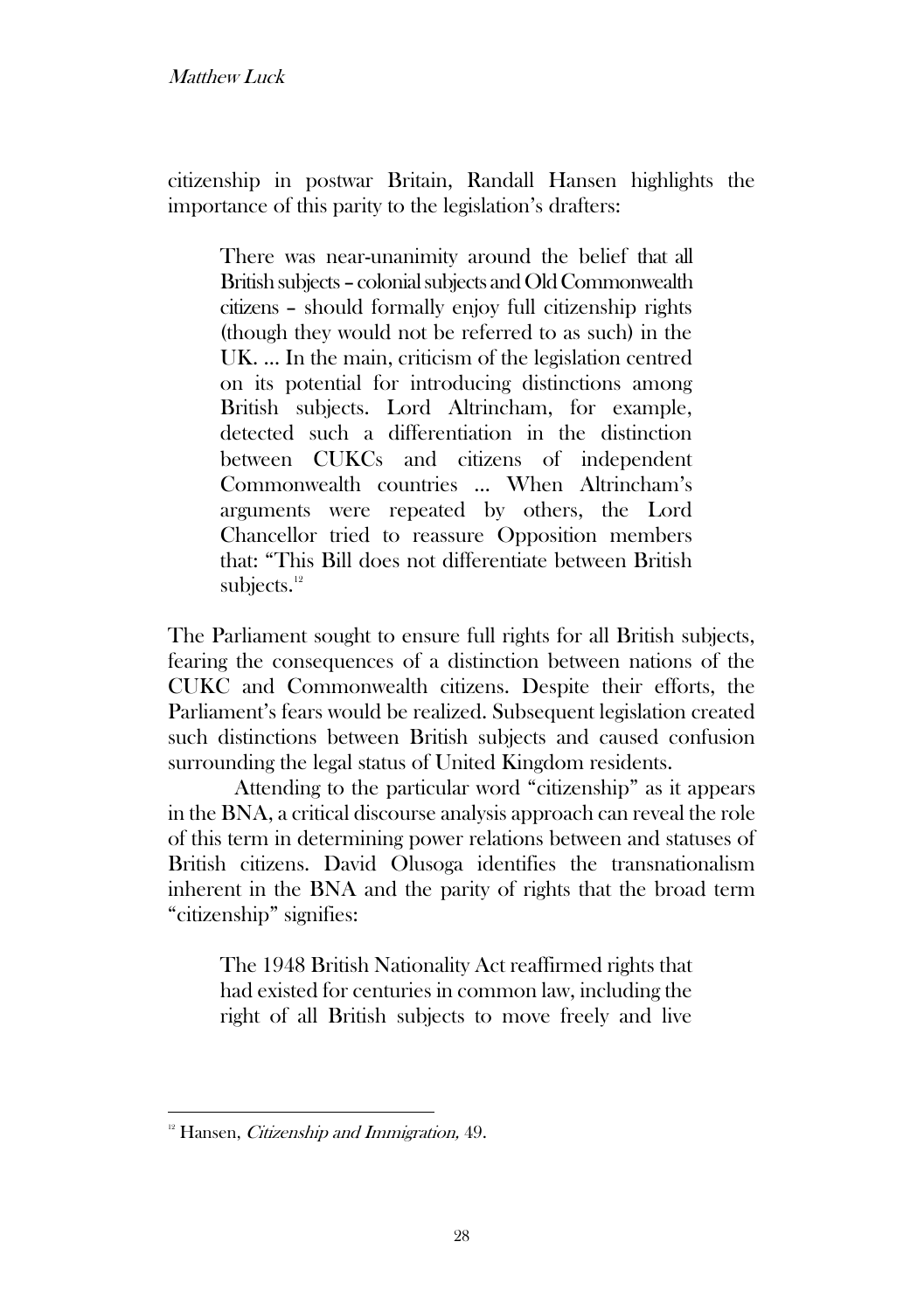## Matthew Luck

citizenship in postwar Britain, Randall Hansen highlights the importance of this parity to the legislation's drafters:

There was near-unanimity around the belief that all British subjects - colonial subjects and Old Commonwealth citizens – should formally enjoy full citizenship rights (though they would not be referred to as such) in the UK. … In the main, criticism of the legislation centred on its potential for introducing distinctions among British subjects. Lord Altrincham, for example, detected such a differentiation in the distinction between CUKCs and citizens of independent Commonwealth countries … When Altrincham's arguments were repeated by others, the Lord Chancellor tried to reassure Opposition members that: "This Bill does not differentiate between British subjects. $12$ 

The Parliament sought to ensure full rights for all British subjects, fearing the consequences of a distinction between nations of the CUKC and Commonwealth citizens. Despite their efforts, the Parliament's fears would be realized. Subsequent legislation created such distinctions between British subjects and caused confusion surrounding the legal status of United Kingdom residents.

Attending to the particular word "citizenship" as it appears in the BNA, a critical discourse analysis approach can reveal the role of this term in determining power relations between and statuses of British citizens. David Olusoga identifies the transnationalism inherent in the BNA and the parity of rights that the broad term "citizenship" signifies:

The 1948 British Nationality Act reaffirmed rights that had existed for centuries in common law, including the right of all British subjects to move freely and live

 $12$  Hansen, *Citizenship and Immigration*, 49.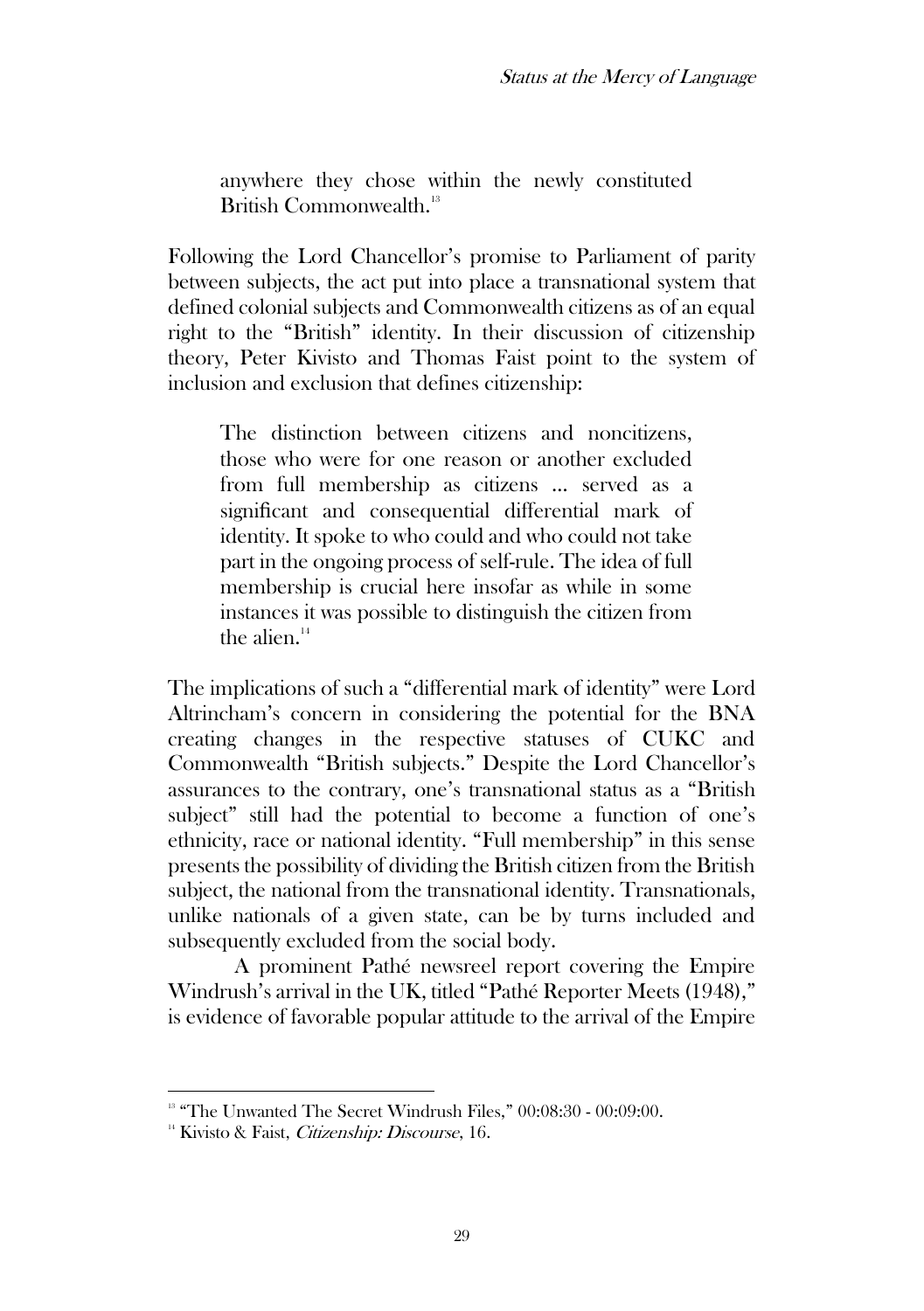anywhere they chose within the newly constituted British Commonwealth.<sup>13</sup>

Following the Lord Chancellor's promise to Parliament of parity between subjects, the act put into place a transnational system that defined colonial subjects and Commonwealth citizens as of an equal right to the "British" identity. In their discussion of citizenship theory, Peter Kivisto and Thomas Faist point to the system of inclusion and exclusion that defines citizenship:

The distinction between citizens and noncitizens, those who were for one reason or another excluded from full membership as citizens … served as a significant and consequential differential mark of identity. It spoke to who could and who could not take part in the ongoing process of self-rule. The idea of full membership is crucial here insofar as while in some instances it was possible to distinguish the citizen from the alien. $14$ 

The implications of such a "differential mark of identity" were Lord Altrincham's concern in considering the potential for the BNA creating changes in the respective statuses of CUKC and Commonwealth "British subjects." Despite the Lord Chancellor's assurances to the contrary, one's transnational status as a "British subject" still had the potential to become a function of one's ethnicity, race or national identity. "Full membership" in this sense presents the possibility of dividing the British citizen from the British subject, the national from the transnational identity. Transnationals, unlike nationals of a given state, can be by turns included and subsequently excluded from the social body.

A prominent Pathé newsreel report covering the Empire Windrush's arrival in the UK, titled "Pathé Reporter Meets (1948)," is evidence of favorable popular attitude to the arrival of the Empire

<sup>&</sup>lt;sup>13</sup> "The Unwanted The Secret Windrush Files," 00:08:30 - 00:09:00.

<sup>&</sup>lt;sup>14</sup> Kivisto & Faist, *Citizenship: Discourse*, 16.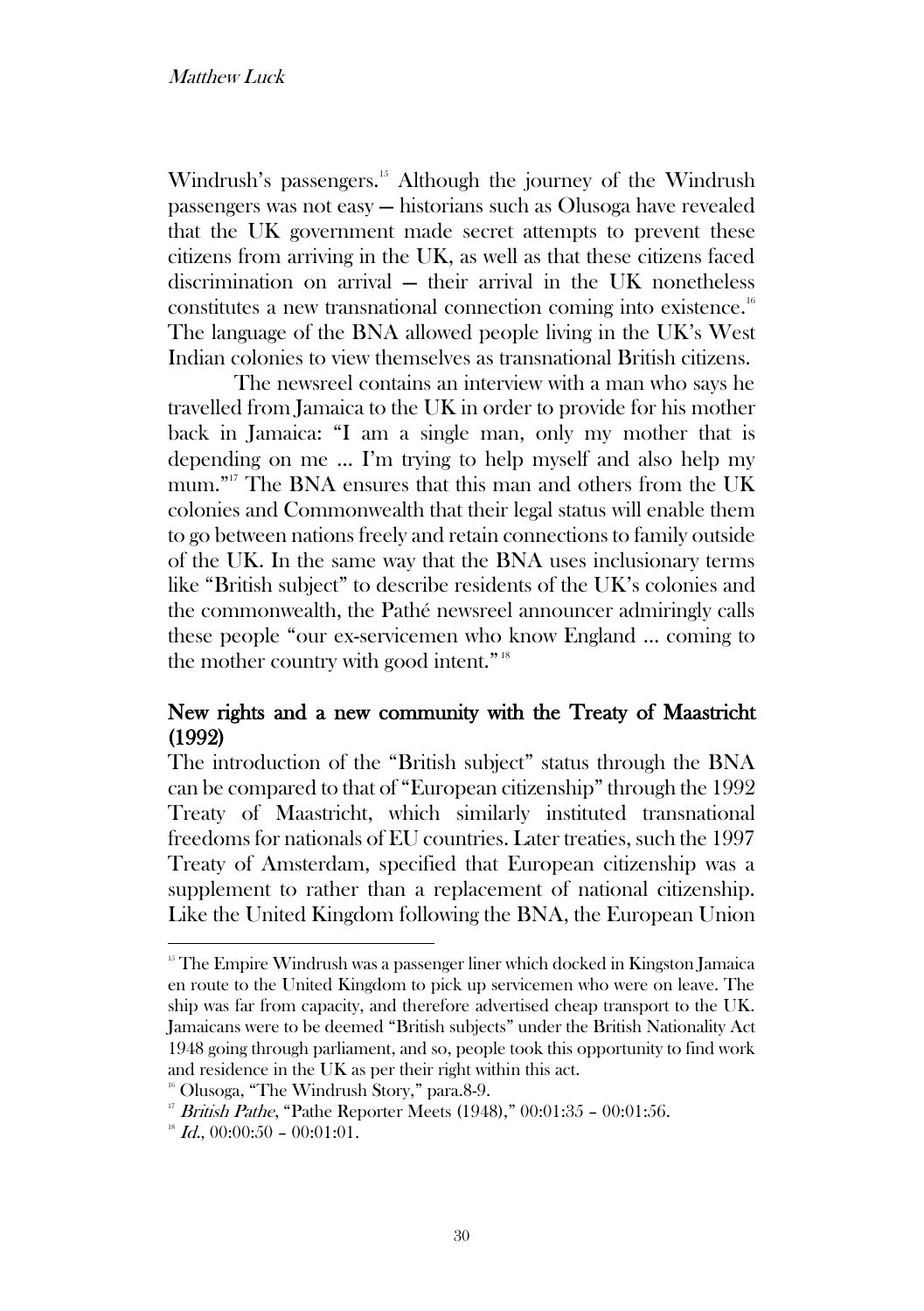### Matthew Luck

Windrush's passengers.<sup>15</sup> Although the journey of the Windrush passengers was not easy — historians such as Olusoga have revealed that the UK government made secret attempts to prevent these citizens from arriving in the UK, as well as that these citizens faced discrimination on arrival — their arrival in the UK nonetheless constitutes a new transnational connection coming into existence.<sup>16</sup> The language of the BNA allowed people living in the UK's West Indian colonies to view themselves as transnational British citizens.

The newsreel contains an interview with a man who says he travelled from Jamaica to the UK in order to provide for his mother back in Jamaica: "I am a single man, only my mother that is depending on me … I'm trying to help myself and also help my mum." <sup>17</sup> The BNA ensures that this man and others from the UK colonies and Commonwealth that their legal status will enable them to go between nations freely and retain connections to family outside of the UK. In the same way that the BNA uses inclusionary terms like "British subject" to describe residents of the UK's colonies and the commonwealth, the Pathé newsreel announcer admiringly calls these people "our ex-servicemen who know England … coming to the mother country with good intent."<sup>18</sup>

## New rights and a new community with the Treaty of Maastricht (1992)

The introduction of the "British subject" status through the BNA can be compared to that of "European citizenship" through the 1992 Treaty of Maastricht, which similarly instituted transnational freedoms for nationals of EU countries. Later treaties, such the 1997 Treaty of Amsterdam, specified that European citizenship was a supplement to rather than a replacement of national citizenship. Like the United Kingdom following the BNA, the European Union

<sup>&</sup>lt;sup>15</sup> The Empire Windrush was a passenger liner which docked in Kingston Jamaica en route to the United Kingdom to pick up servicemen who were on leave. The ship was far from capacity, and therefore advertised cheap transport to the UK. Jamaicans were to be deemed "British subjects" under the British Nationality Act 1948 going through parliament, and so, people took this opportunity to find work and residence in the UK as per their right within this act.

<sup>&</sup>lt;sup>16</sup> Olusoga, "The Windrush Story," para.8-9.

<sup>&</sup>lt;sup>17</sup> British Pathe, "Pathe Reporter Meets (1948),"  $00:01:35 - 00:01:56$ .

 $^{18}$  *Id.*, 00:00:50 – 00:01:01.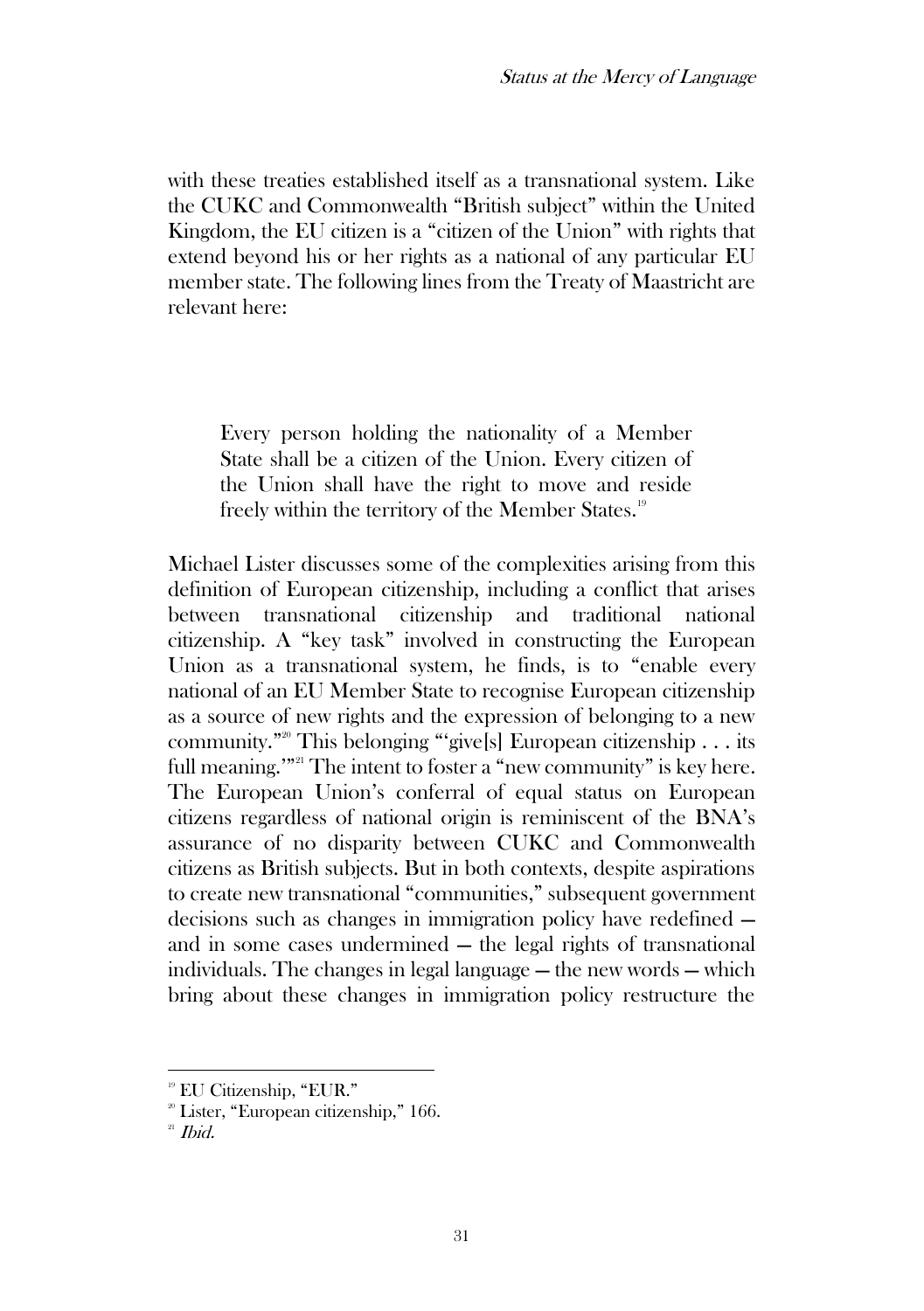with these treaties established itself as a transnational system. Like the CUKC and Commonwealth "British subject" within the United Kingdom, the EU citizen is a "citizen of the Union" with rights that extend beyond his or her rights as a national of any particular EU member state. The following lines from the Treaty of Maastricht are relevant here:

Every person holding the nationality of a Member State shall be a citizen of the Union. Every citizen of the Union shall have the right to move and reside freely within the territory of the Member States.<sup>19</sup>

Michael Lister discusses some of the complexities arising from this definition of European citizenship, including a conflict that arises between transnational citizenship and traditional national citizenship. A "key task" involved in constructing the European Union as a transnational system, he finds, is to "enable every national of an EU Member State to recognise European citizenship as a source of new rights and the expression of belonging to a new community."<sup>20</sup> This belonging "'give[s] European citizenship . . . its full meaning."<sup>21</sup> The intent to foster a "new community" is key here. The European Union's conferral of equal status on European citizens regardless of national origin is reminiscent of the BNA's assurance of no disparity between CUKC and Commonwealth citizens as British subjects. But in both contexts, despite aspirations to create new transnational "communities," subsequent government decisions such as changes in immigration policy have redefined and in some cases undermined — the legal rights of transnational individuals. The changes in legal language — the new words — which bring about these changes in immigration policy restructure the

<sup>&</sup>lt;sup>19</sup> EU Citizenship, "EUR."

 $2^{\circ}$  Lister, "European citizenship," 166.

 $21$  *Ibid.*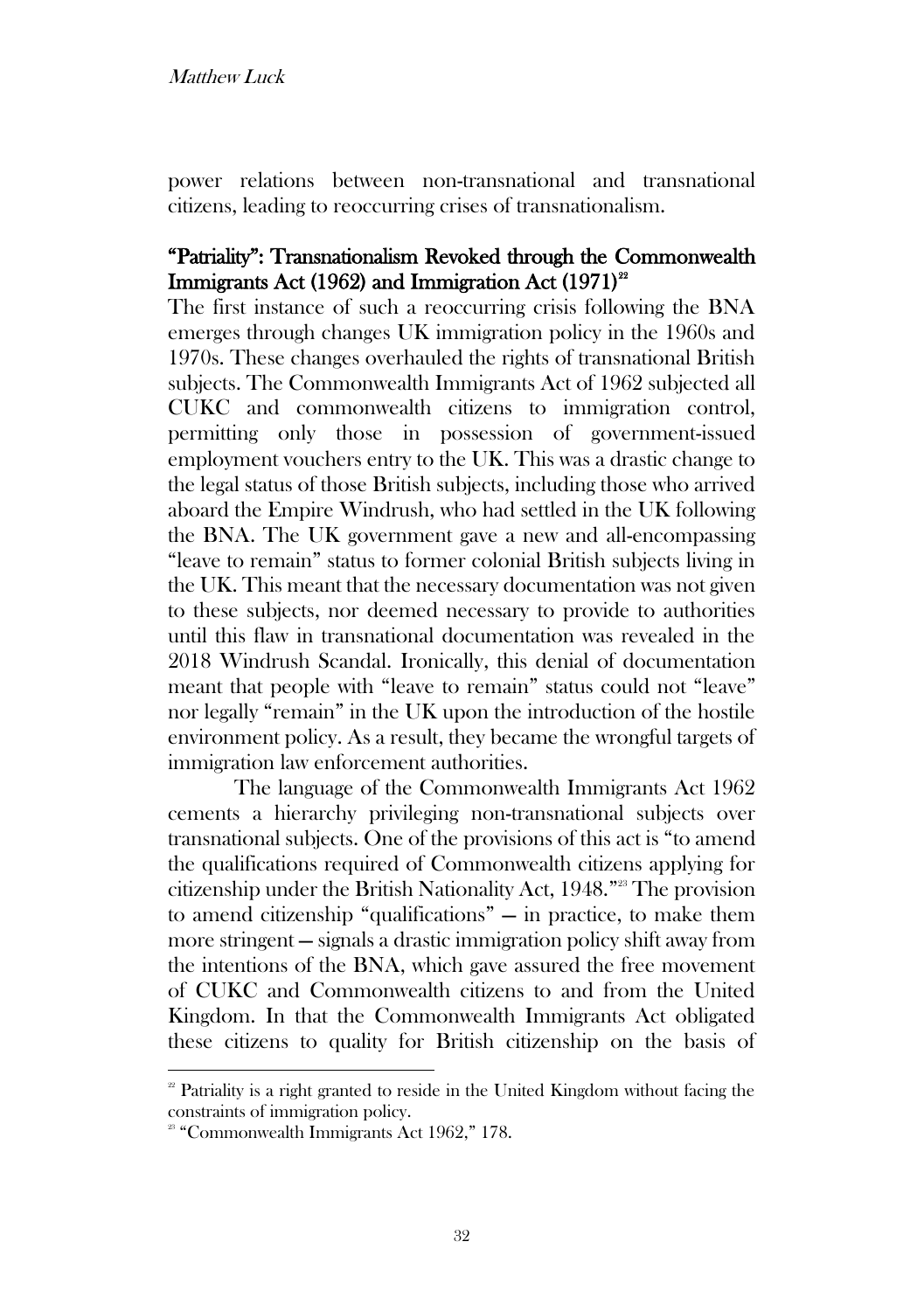power relations between non-transnational and transnational citizens, leading to reoccurring crises of transnationalism.

## "Patriality": Transnationalism Revoked through the Commonwealth Immigrants Act (1962) and Immigration Act  $(1971)^{22}$

The first instance of such a reoccurring crisis following the BNA emerges through changes UK immigration policy in the 1960s and 1970s. These changes overhauled the rights of transnational British subjects. The Commonwealth Immigrants Act of 1962 subjected all CUKC and commonwealth citizens to immigration control, permitting only those in possession of government-issued employment vouchers entry to the UK. This was a drastic change to the legal status of those British subjects, including those who arrived aboard the Empire Windrush, who had settled in the UK following the BNA. The UK government gave a new and all-encompassing "leave to remain" status to former colonial British subjects living in the UK. This meant that the necessary documentation was not given to these subjects, nor deemed necessary to provide to authorities until this flaw in transnational documentation was revealed in the 2018 Windrush Scandal. Ironically, this denial of documentation meant that people with "leave to remain" status could not "leave" nor legally "remain" in the UK upon the introduction of the hostile environment policy. As a result, they became the wrongful targets of immigration law enforcement authorities.

The language of the Commonwealth Immigrants Act 1962 cements a hierarchy privileging non-transnational subjects over transnational subjects. One of the provisions of this act is "to amend the qualifications required of Commonwealth citizens applying for citizenship under the British Nationality Act, 1948." <sup>23</sup> The provision to amend citizenship "qualifications" — in practice, to make them more stringent — signals a drastic immigration policy shift away from the intentions of the BNA, which gave assured the free movement of CUKC and Commonwealth citizens to and from the United Kingdom. In that the Commonwealth Immigrants Act obligated these citizens to quality for British citizenship on the basis of

 $2<sup>2</sup>$  Patriality is a right granted to reside in the United Kingdom without facing the constraints of immigration policy.

<sup>&</sup>lt;sup>23</sup> "Commonwealth Immigrants Act 1962," 178.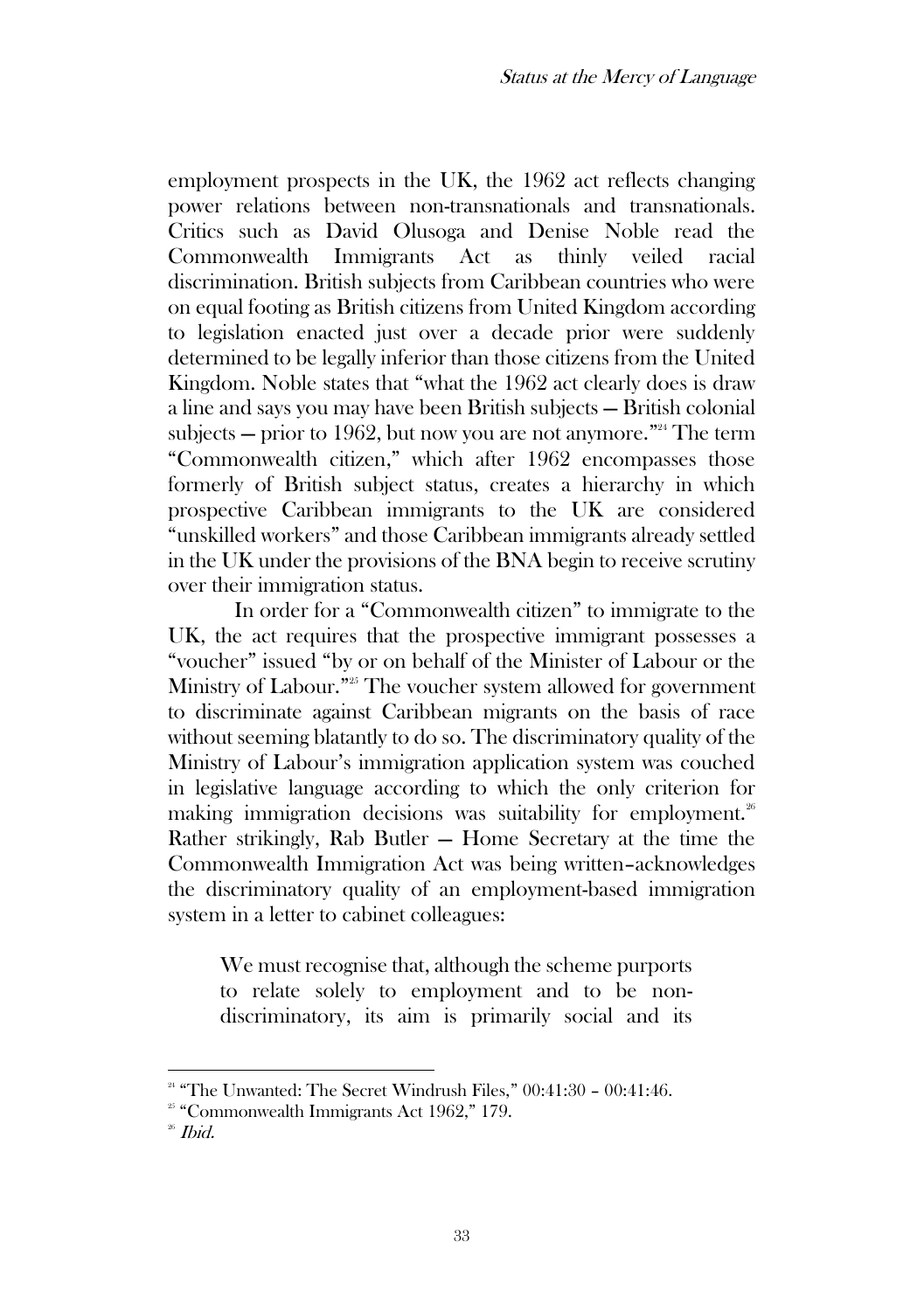employment prospects in the UK, the 1962 act reflects changing power relations between non-transnationals and transnationals. Critics such as David Olusoga and Denise Noble read the Commonwealth Immigrants Act as thinly veiled racial discrimination. British subjects from Caribbean countries who were on equal footing as British citizens from United Kingdom according to legislation enacted just over a decade prior were suddenly determined to be legally inferior than those citizens from the United Kingdom. Noble states that "what the 1962 act clearly does is draw a line and says you may have been British subjects — British colonial subjects — prior to 1962, but now you are not anymore." $24$  The term "Commonwealth citizen," which after 1962 encompasses those formerly of British subject status, creates a hierarchy in which prospective Caribbean immigrants to the UK are considered "unskilled workers" and those Caribbean immigrants already settled in the UK under the provisions of the BNA begin to receive scrutiny over their immigration status.

In order for a "Commonwealth citizen" to immigrate to the UK, the act requires that the prospective immigrant possesses a "voucher" issued "by or on behalf of the Minister of Labour or the Ministry of Labour."<sup>25</sup> The voucher system allowed for government to discriminate against Caribbean migrants on the basis of race without seeming blatantly to do so. The discriminatory quality of the Ministry of Labour's immigration application system was couched in legislative language according to which the only criterion for making immigration decisions was suitability for employment. $26$ Rather strikingly, Rab Butler — Home Secretary at the time the Commonwealth Immigration Act was being written–acknowledges the discriminatory quality of an employment-based immigration system in a letter to cabinet colleagues:

We must recognise that, although the scheme purports to relate solely to employment and to be nondiscriminatory, its aim is primarily social and its

<sup>&</sup>lt;sup>24</sup> "The Unwanted: The Secret Windrush Files,"  $00:41:30 - 00:41:46$ .

<sup>&</sup>lt;sup>25</sup> "Commonwealth Immigrants Act 1962," 179.

 $26$  *Ibid.*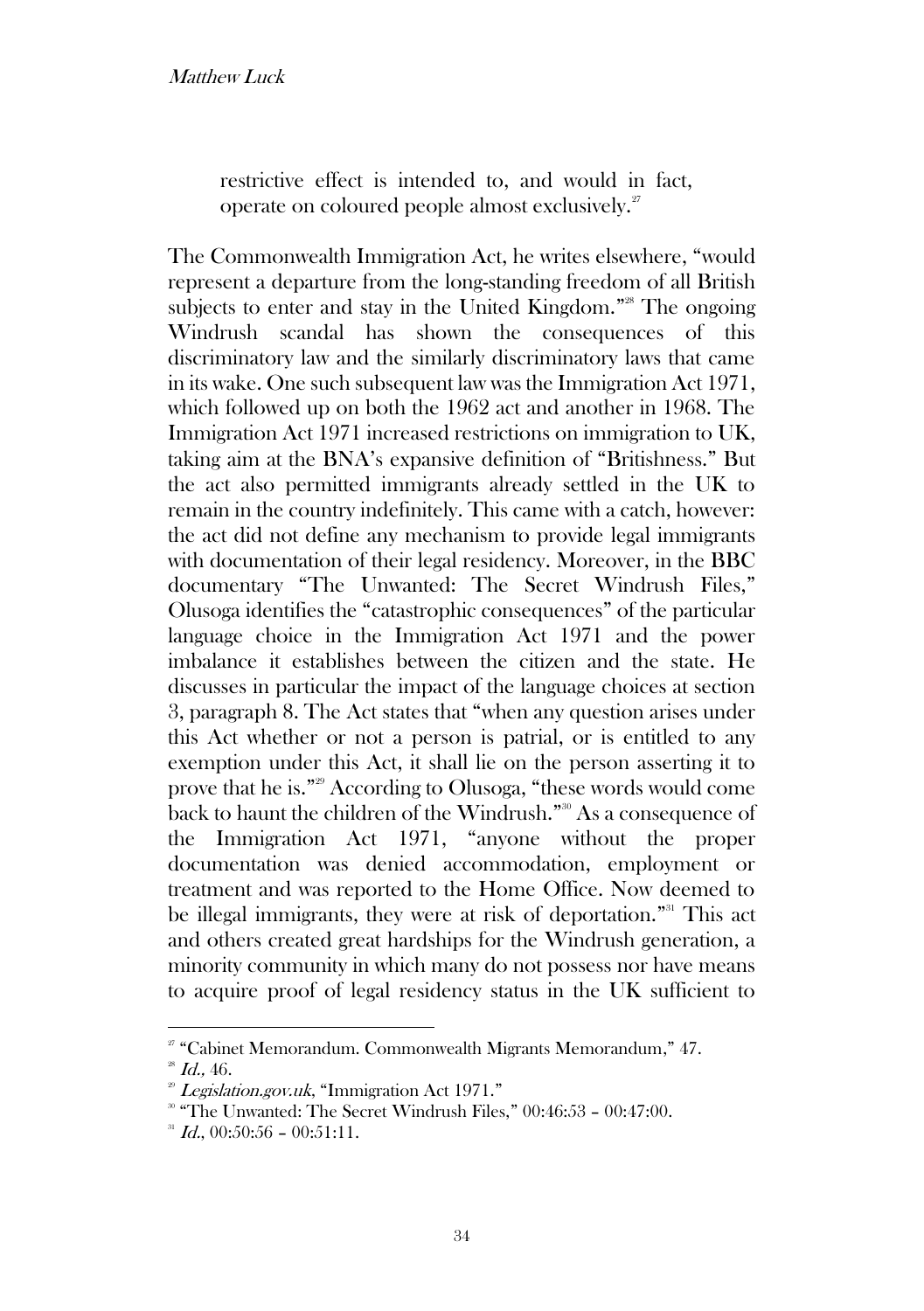restrictive effect is intended to, and would in fact, operate on coloured people almost exclusively.<sup>27</sup>

The Commonwealth Immigration Act, he writes elsewhere, "would represent a departure from the long-standing freedom of all British subjects to enter and stay in the United Kingdom."<sup>28</sup> The ongoing Windrush scandal has shown the consequences of this discriminatory law and the similarly discriminatory laws that came in its wake. One such subsequent law was the Immigration Act 1971, which followed up on both the 1962 act and another in 1968. The Immigration Act 1971 increased restrictions on immigration to UK, taking aim at the BNA's expansive definition of "Britishness." But the act also permitted immigrants already settled in the UK to remain in the country indefinitely. This came with a catch, however: the act did not define any mechanism to provide legal immigrants with documentation of their legal residency. Moreover, in the BBC documentary "The Unwanted: The Secret Windrush Files," Olusoga identifies the "catastrophic consequences" of the particular language choice in the Immigration Act 1971 and the power imbalance it establishes between the citizen and the state. He discusses in particular the impact of the language choices at section 3, paragraph 8. The Act states that "when any question arises under this Act whether or not a person is patrial, or is entitled to any exemption under this Act, it shall lie on the person asserting it to prove that he is." <sup>29</sup> According to Olusoga, "these words would come back to haunt the children of the Windrush."<sup>30</sup> As a consequence of the Immigration Act 1971, "anyone without the proper documentation was denied accommodation, employment or treatment and was reported to the Home Office. Now deemed to be illegal immigrants, they were at risk of deportation." <sup>31</sup> This act and others created great hardships for the Windrush generation, a minority community in which many do not possess nor have means to acquire proof of legal residency status in the UK sufficient to

<sup>27</sup> "Cabinet Memorandum. Commonwealth Migrants Memorandum," 47.

 $^{28}$  Id., 46.

 $2^{\circ}$  Legislation.gov.uk, "Immigration Act 1971."

<sup>&</sup>lt;sup>30</sup> "The Unwanted: The Secret Windrush Files," 00:46:53 - 00:47:00.

 $^{31}$  *Id.*, 00:50:56 - 00:51:11.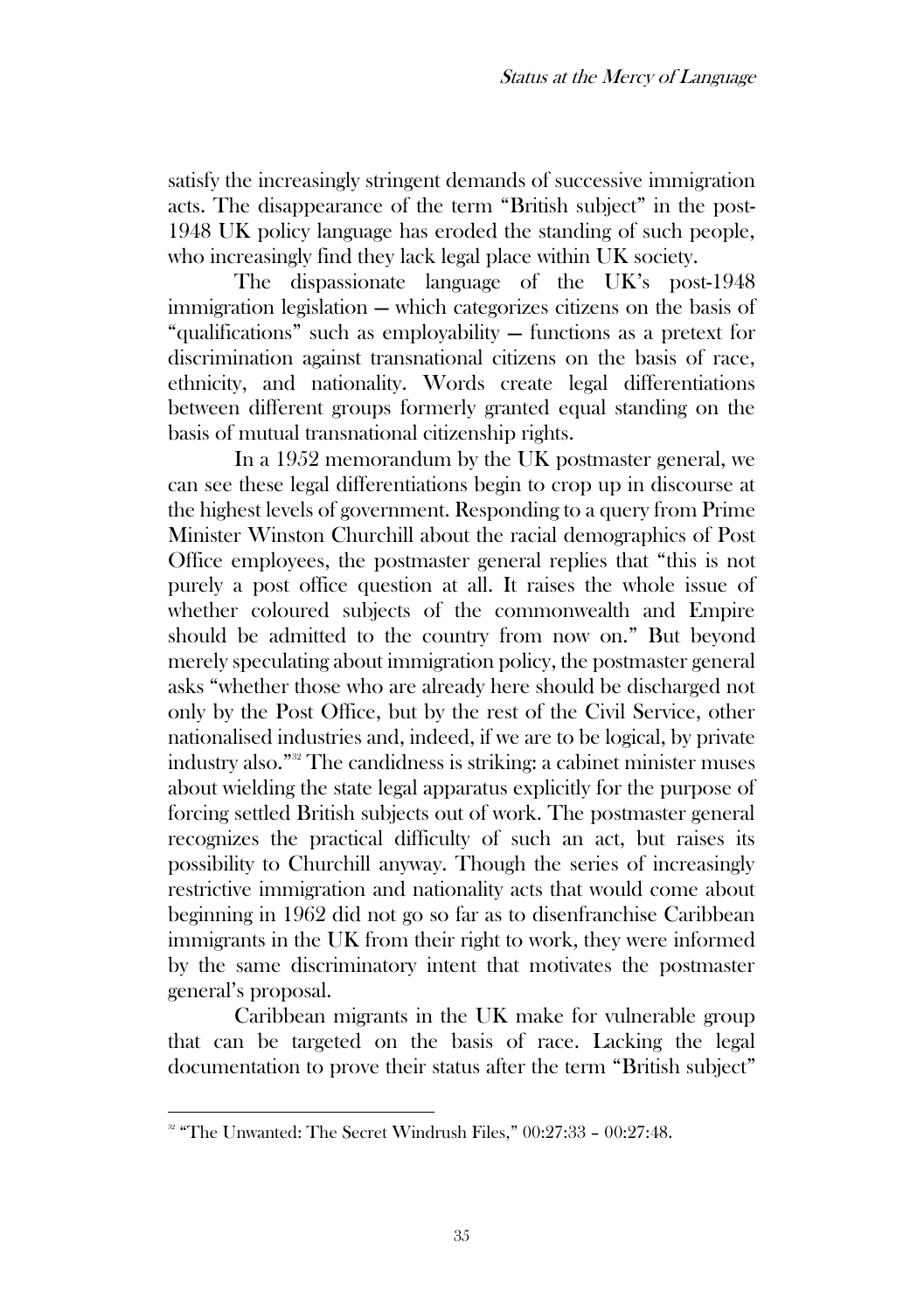satisfy the increasingly stringent demands of successive immigration acts. The disappearance of the term "British subject" in the post-1948 UK policy language has eroded the standing of such people, who increasingly find they lack legal place within UK society.

The dispassionate language of the UK's post-1948 immigration legislation — which categorizes citizens on the basis of "qualifications" such as employability — functions as a pretext for discrimination against transnational citizens on the basis of race, ethnicity, and nationality. Words create legal differentiations between different groups formerly granted equal standing on the basis of mutual transnational citizenship rights.

In a 1952 memorandum by the UK postmaster general, we can see these legal differentiations begin to crop up in discourse at the highest levels of government. Responding to a query from Prime Minister Winston Churchill about the racial demographics of Post Office employees, the postmaster general replies that "this is not purely a post office question at all. It raises the whole issue of whether coloured subjects of the commonwealth and Empire should be admitted to the country from now on." But beyond merely speculating about immigration policy, the postmaster general asks "whether those who are already here should be discharged not only by the Post Office, but by the rest of the Civil Service, other nationalised industries and, indeed, if we are to be logical, by private industry also." <sup>32</sup> The candidness is striking: a cabinet minister muses about wielding the state legal apparatus explicitly for the purpose of forcing settled British subjects out of work. The postmaster general recognizes the practical difficulty of such an act, but raises its possibility to Churchill anyway. Though the series of increasingly restrictive immigration and nationality acts that would come about beginning in 1962 did not go so far as to disenfranchise Caribbean immigrants in the UK from their right to work, they were informed by the same discriminatory intent that motivates the postmaster general's proposal.

Caribbean migrants in the UK make for vulnerable group that can be targeted on the basis of race. Lacking the legal documentation to prove their status after the term "British subject"

<sup>&</sup>lt;sup>32</sup> "The Unwanted: The Secret Windrush Files," 00:27:33 - 00:27:48.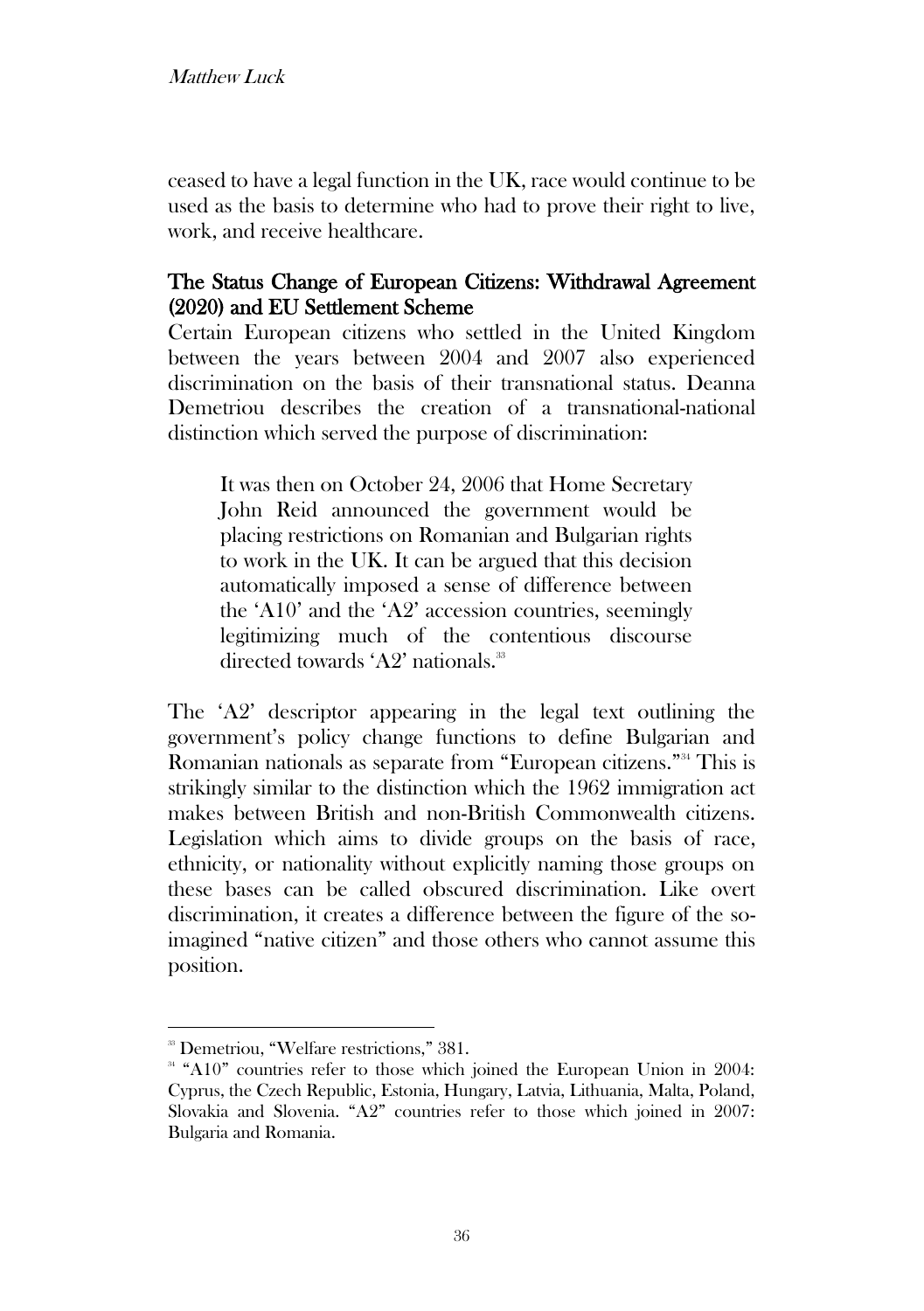ceased to have a legal function in the UK, race would continue to be used as the basis to determine who had to prove their right to live, work, and receive healthcare.

## The Status Change of European Citizens: Withdrawal Agreement (2020) and EU Settlement Scheme

Certain European citizens who settled in the United Kingdom between the years between 2004 and 2007 also experienced discrimination on the basis of their transnational status. Deanna Demetriou describes the creation of a transnational-national distinction which served the purpose of discrimination:

It was then on October 24, 2006 that Home Secretary John Reid announced the government would be placing restrictions on Romanian and Bulgarian rights to work in the UK. It can be argued that this decision automatically imposed a sense of difference between the 'A10' and the 'A2' accession countries, seemingly legitimizing much of the contentious discourse directed towards  $'A2'$  nationals.<sup>33</sup>

The 'A2' descriptor appearing in the legal text outlining the government's policy change functions to define Bulgarian and Romanian nationals as separate from "European citizens." <sup>34</sup> This is strikingly similar to the distinction which the 1962 immigration act makes between British and non-British Commonwealth citizens. Legislation which aims to divide groups on the basis of race, ethnicity, or nationality without explicitly naming those groups on these bases can be called obscured discrimination. Like overt discrimination, it creates a difference between the figure of the soimagined "native citizen" and those others who cannot assume this position.

<sup>&</sup>lt;sup>33</sup> Demetriou, "Welfare restrictions," 381.

<sup>&</sup>lt;sup>34</sup> "A10" countries refer to those which joined the European Union in 2004: Cyprus, the Czech Republic, Estonia, Hungary, Latvia, Lithuania, Malta, Poland, Slovakia and Slovenia. "A2" countries refer to those which joined in 2007: Bulgaria and Romania.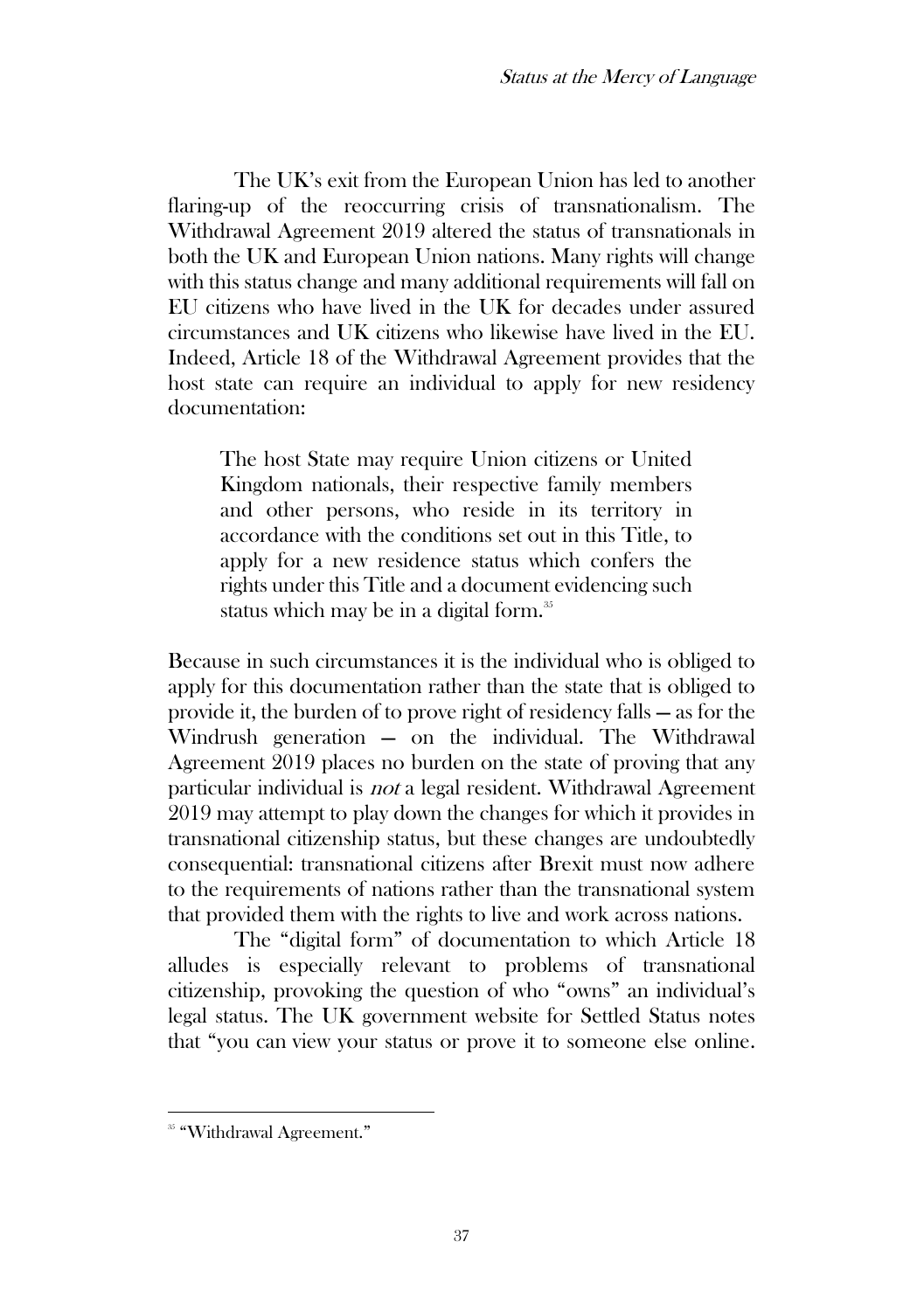The UK's exit from the European Union has led to another flaring-up of the reoccurring crisis of transnationalism. The Withdrawal Agreement 2019 altered the status of transnationals in both the UK and European Union nations. Many rights will change with this status change and many additional requirements will fall on EU citizens who have lived in the UK for decades under assured circumstances and UK citizens who likewise have lived in the EU. Indeed, Article 18 of the Withdrawal Agreement provides that the host state can require an individual to apply for new residency documentation:

The host State may require Union citizens or United Kingdom nationals, their respective family members and other persons, who reside in its territory in accordance with the conditions set out in this Title, to apply for a new residence status which confers the rights under this Title and a document evidencing such status which may be in a digital form.<sup>35</sup>

Because in such circumstances it is the individual who is obliged to apply for this documentation rather than the state that is obliged to provide it, the burden of to prove right of residency falls — as for the Windrush generation — on the individual. The Withdrawal Agreement 2019 places no burden on the state of proving that any particular individual is not a legal resident. Withdrawal Agreement 2019 may attempt to play down the changes for which it provides in transnational citizenship status, but these changes are undoubtedly consequential: transnational citizens after Brexit must now adhere to the requirements of nations rather than the transnational system that provided them with the rights to live and work across nations.

The "digital form" of documentation to which Article 18 alludes is especially relevant to problems of transnational citizenship, provoking the question of who "owns" an individual's legal status. The UK government website for Settled Status notes that "you can view your status or prove it to someone else online.

<sup>&</sup>lt;sup>35</sup> "Withdrawal Agreement."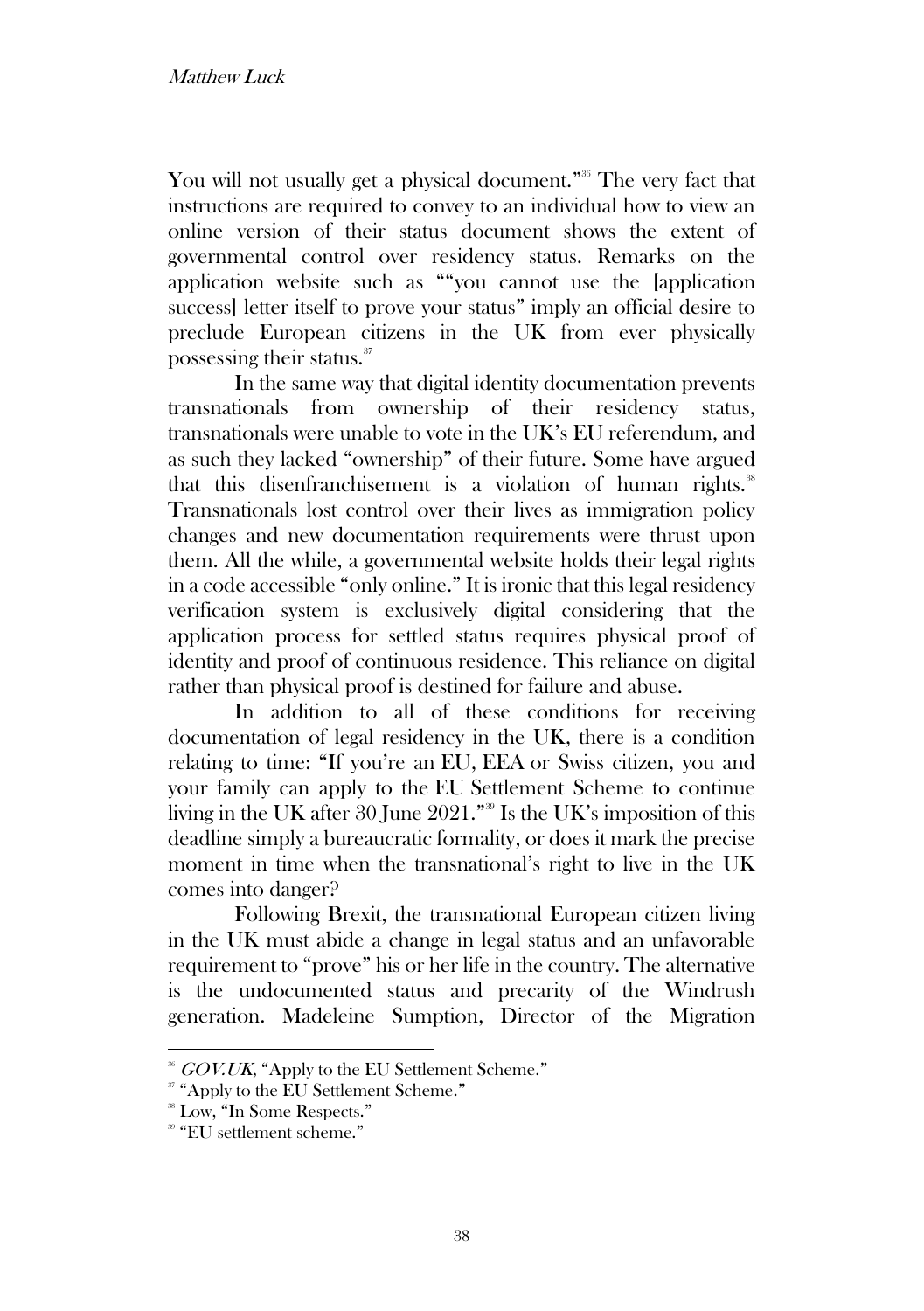You will not usually get a physical document."<sup>36</sup> The very fact that instructions are required to convey to an individual how to view an online version of their status document shows the extent of governmental control over residency status. Remarks on the application website such as ""you cannot use the [application success] letter itself to prove your status" imply an official desire to preclude European citizens in the UK from ever physically possessing their status.<sup>37</sup>

In the same way that digital identity documentation prevents transnationals from ownership of their residency status, transnationals were unable to vote in the UK's EU referendum, and as such they lacked "ownership" of their future. Some have argued that this disenfranchisement is a violation of human rights.<sup>38</sup> Transnationals lost control over their lives as immigration policy changes and new documentation requirements were thrust upon them. All the while, a governmental website holds their legal rights in a code accessible "only online." It is ironic that this legal residency verification system is exclusively digital considering that the application process for settled status requires physical proof of identity and proof of continuous residence. This reliance on digital rather than physical proof is destined for failure and abuse.

In addition to all of these conditions for receiving documentation of legal residency in the UK, there is a condition relating to time: "If you're an EU, EEA or Swiss citizen, you and your family can apply to the EU Settlement Scheme to continue living in the UK after 30 June 2021." <sup>39</sup> Is the UK's imposition of this deadline simply a bureaucratic formality, or does it mark the precise moment in time when the transnational's right to live in the UK comes into danger?

Following Brexit, the transnational European citizen living in the UK must abide a change in legal status and an unfavorable requirement to "prove" his or her life in the country. The alternative is the undocumented status and precarity of the Windrush generation. Madeleine Sumption, Director of the Migration

<sup>&</sup>lt;sup>36</sup> GOV.UK, "Apply to the EU Settlement Scheme."

<sup>&</sup>lt;sup>37</sup> "Apply to the EU Settlement Scheme."

<sup>&</sup>lt;sup>38</sup> Low, "In Some Respects."

<sup>39</sup> "EU settlement scheme."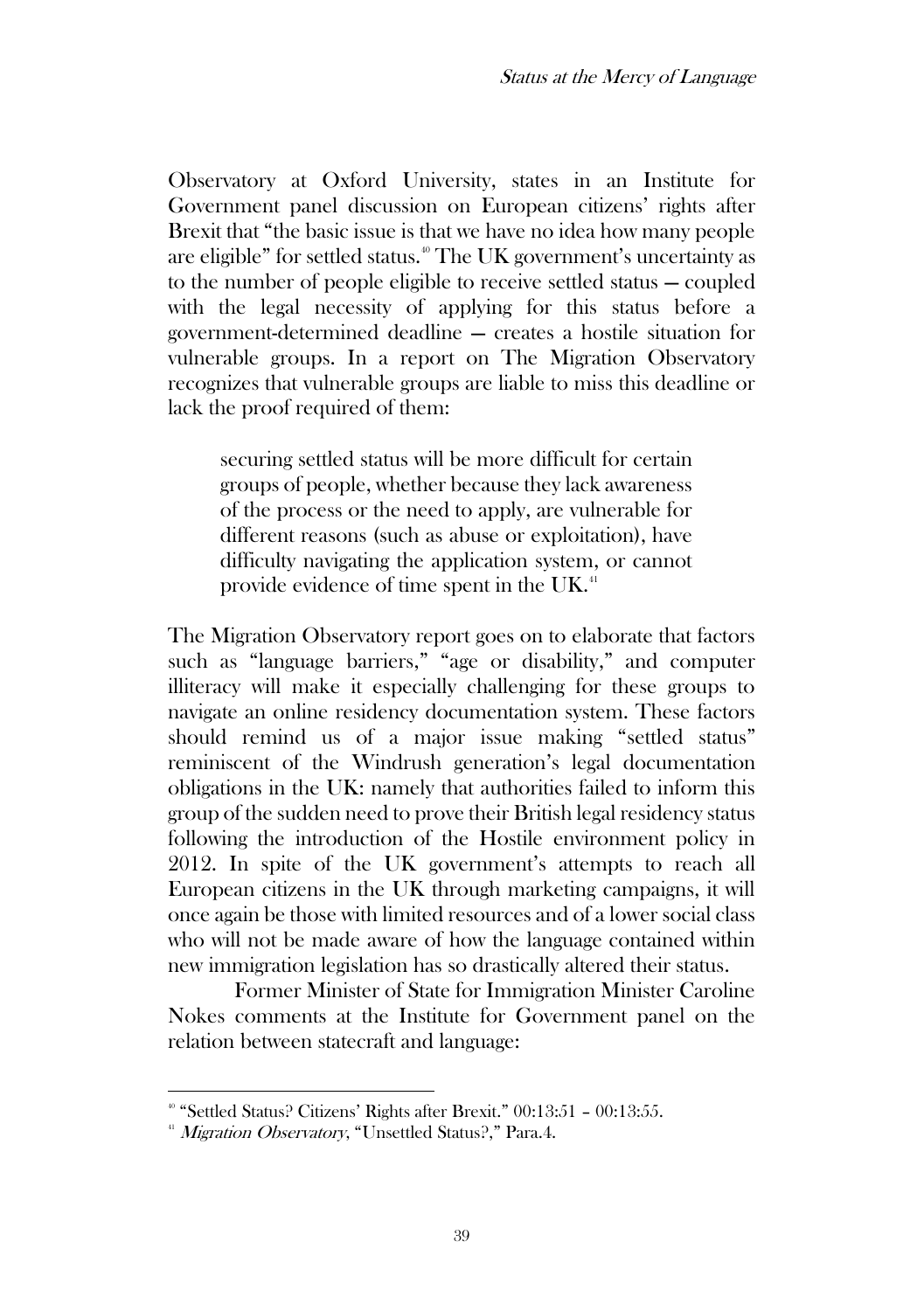Observatory at Oxford University, states in an Institute for Government panel discussion on European citizens' rights after Brexit that "the basic issue is that we have no idea how many people are eligible" for settled status.<sup>40</sup> The UK government's uncertainty as to the number of people eligible to receive settled status — coupled with the legal necessity of applying for this status before a government-determined deadline — creates a hostile situation for vulnerable groups. In a report on The Migration Observatory recognizes that vulnerable groups are liable to miss this deadline or lack the proof required of them:

securing settled status will be more difficult for certain groups of people, whether because they lack awareness of the process or the need to apply, are vulnerable for different reasons (such as abuse or exploitation), have difficulty navigating the application system, or cannot provide evidence of time spent in the UK.<sup>41</sup>

The Migration Observatory report goes on to elaborate that factors such as "language barriers," "age or disability," and computer illiteracy will make it especially challenging for these groups to navigate an online residency documentation system. These factors should remind us of a major issue making "settled status" reminiscent of the Windrush generation's legal documentation obligations in the UK: namely that authorities failed to inform this group of the sudden need to prove their British legal residency status following the introduction of the Hostile environment policy in 2012. In spite of the UK government's attempts to reach all European citizens in the UK through marketing campaigns, it will once again be those with limited resources and of a lower social class who will not be made aware of how the language contained within new immigration legislation has so drastically altered their status.

Former Minister of State for Immigration Minister Caroline Nokes comments at the Institute for Government panel on the relation between statecraft and language:

<sup>40</sup> "Settled Status? Citizens' Rights after Brexit." 00:13:51 – 00:13:55.

<sup>&</sup>lt;sup>41</sup> Migration Observatory, "Unsettled Status?," Para.4.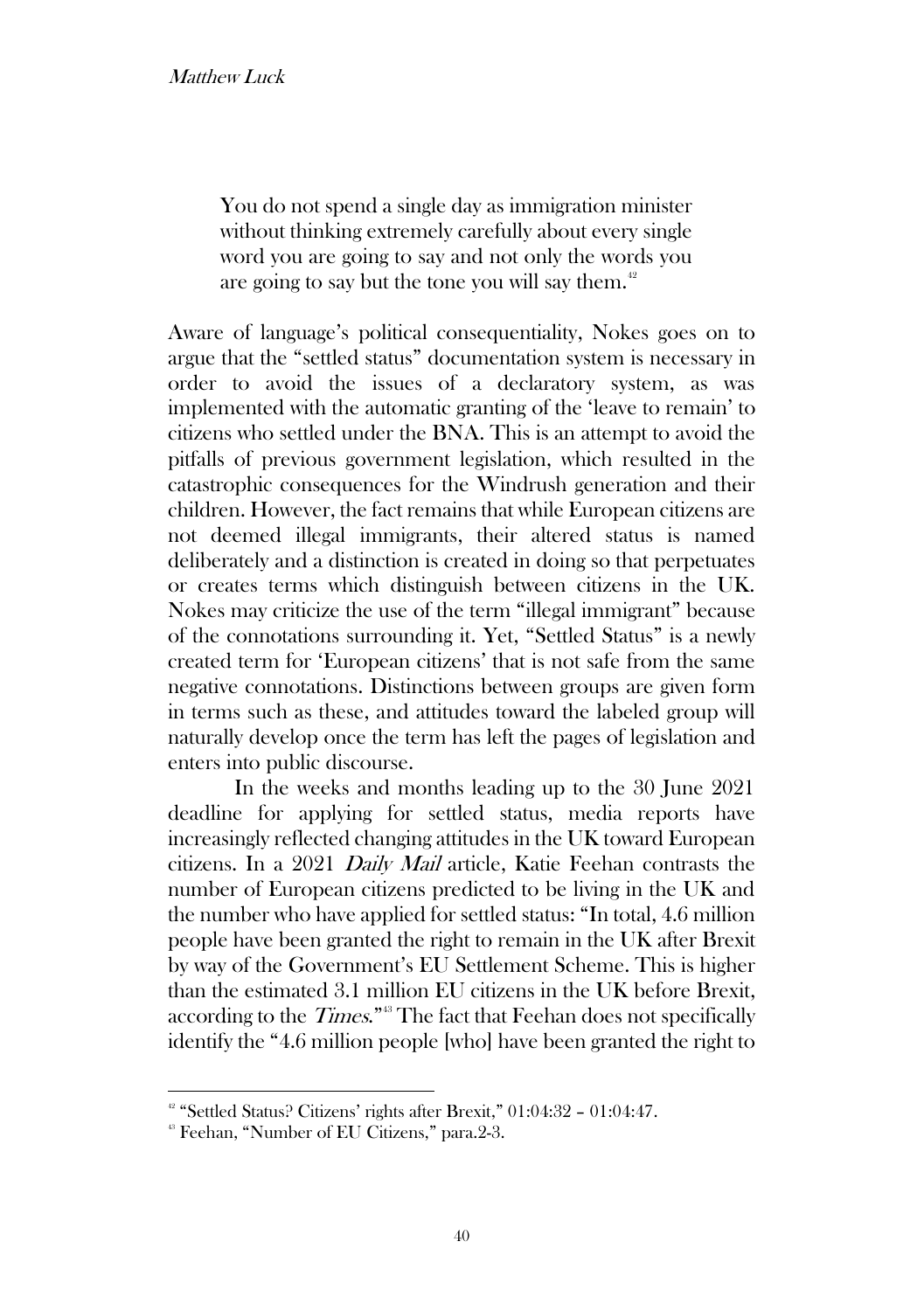You do not spend a single day as immigration minister without thinking extremely carefully about every single word you are going to say and not only the words you are going to say but the tone you will say them. $42$ 

Aware of language's political consequentiality, Nokes goes on to argue that the "settled status" documentation system is necessary in order to avoid the issues of a declaratory system, as was implemented with the automatic granting of the 'leave to remain' to citizens who settled under the BNA. This is an attempt to avoid the pitfalls of previous government legislation, which resulted in the catastrophic consequences for the Windrush generation and their children. However, the fact remains that while European citizens are not deemed illegal immigrants, their altered status is named deliberately and a distinction is created in doing so that perpetuates or creates terms which distinguish between citizens in the UK. Nokes may criticize the use of the term "illegal immigrant" because of the connotations surrounding it. Yet, "Settled Status" is a newly created term for 'European citizens' that is not safe from the same negative connotations. Distinctions between groups are given form in terms such as these, and attitudes toward the labeled group will naturally develop once the term has left the pages of legislation and enters into public discourse.

In the weeks and months leading up to the 30 June 2021 deadline for applying for settled status, media reports have increasingly reflected changing attitudes in the UK toward European citizens. In a 2021 Daily Mail article, Katie Feehan contrasts the number of European citizens predicted to be living in the UK and the number who have applied for settled status: "In total, 4.6 million people have been granted the right to remain in the UK after Brexit by way of the Government's EU Settlement Scheme. This is higher than the estimated 3.1 million EU citizens in the UK before Brexit, according to the  $\emph{Times."}^{\text{\tiny(3)}}$  The fact that Feehan does not specifically identify the "4.6 million people [who] have been granted the right to

<sup>42</sup> "Settled Status? Citizens' rights after Brexit," 01:04:32 – 01:04:47.

<sup>&</sup>lt;sup>43</sup> Feehan, "Number of EU Citizens," para.2-3.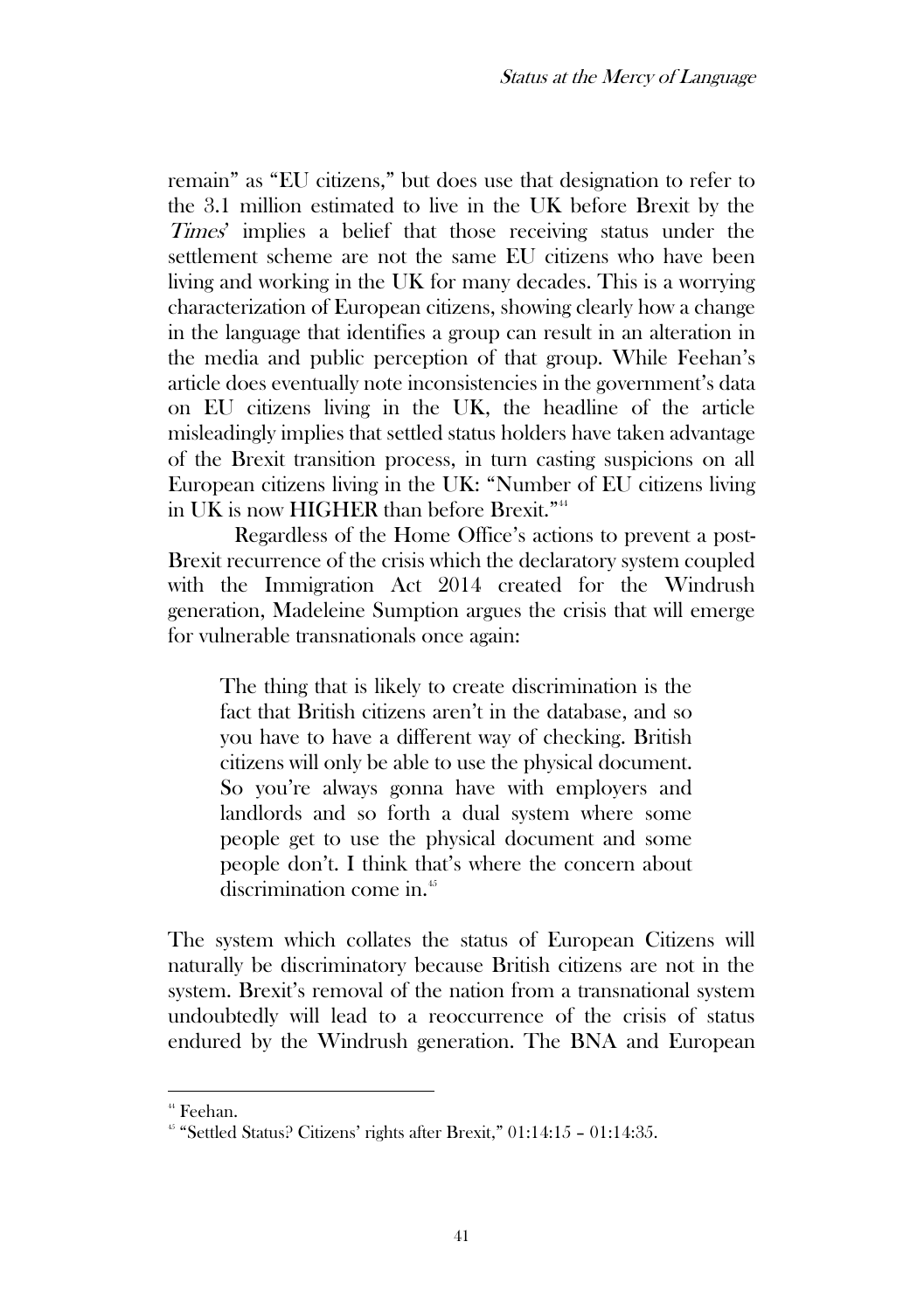remain" as "EU citizens," but does use that designation to refer to the 3.1 million estimated to live in the UK before Brexit by the Times' implies a belief that those receiving status under the settlement scheme are not the same EU citizens who have been living and working in the UK for many decades. This is a worrying characterization of European citizens, showing clearly how a change in the language that identifies a group can result in an alteration in the media and public perception of that group. While Feehan's article does eventually note inconsistencies in the government's data on EU citizens living in the UK, the headline of the article misleadingly implies that settled status holders have taken advantage of the Brexit transition process, in turn casting suspicions on all European citizens living in the UK: "Number of EU citizens living in UK is now HIGHER than before Brexit." 44

Regardless of the Home Office's actions to prevent a post-Brexit recurrence of the crisis which the declaratory system coupled with the Immigration Act 2014 created for the Windrush generation, Madeleine Sumption argues the crisis that will emerge for vulnerable transnationals once again:

The thing that is likely to create discrimination is the fact that British citizens aren't in the database, and so you have to have a different way of checking. British citizens will only be able to use the physical document. So you're always gonna have with employers and landlords and so forth a dual system where some people get to use the physical document and some people don't. I think that's where the concern about discrimination come in.<sup>45</sup>

The system which collates the status of European Citizens will naturally be discriminatory because British citizens are not in the system. Brexit's removal of the nation from a transnational system undoubtedly will lead to a reoccurrence of the crisis of status endured by the Windrush generation. The BNA and European

<sup>44</sup> Feehan.

 $45$  "Settled Status? Citizens' rights after Brexit," 01:14:15 - 01:14:35.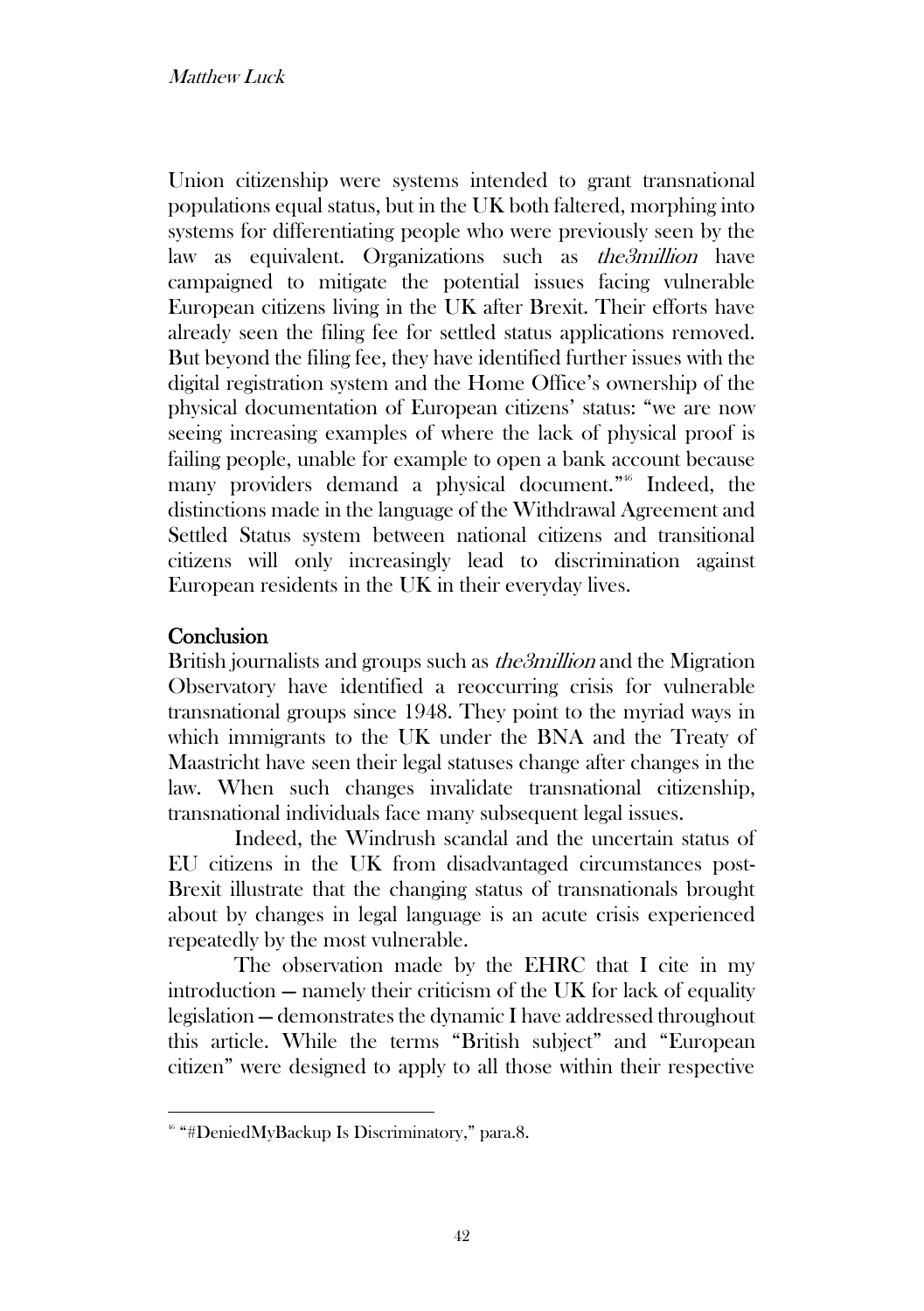Union citizenship were systems intended to grant transnational populations equal status, but in the UK both faltered, morphing into systems for differentiating people who were previously seen by the law as equivalent. Organizations such as the3million have campaigned to mitigate the potential issues facing vulnerable European citizens living in the UK after Brexit. Their efforts have already seen the filing fee for settled status applications removed. But beyond the filing fee, they have identified further issues with the digital registration system and the Home Office's ownership of the physical documentation of European citizens' status: "we are now seeing increasing examples of where the lack of physical proof is failing people, unable for example to open a bank account because many providers demand a physical document." <sup>46</sup> Indeed, the distinctions made in the language of the Withdrawal Agreement and Settled Status system between national citizens and transitional citizens will only increasingly lead to discrimination against European residents in the UK in their everyday lives.

# **Conclusion**

British journalists and groups such as *the3million* and the Migration Observatory have identified a reoccurring crisis for vulnerable transnational groups since 1948. They point to the myriad ways in which immigrants to the UK under the BNA and the Treaty of Maastricht have seen their legal statuses change after changes in the law. When such changes invalidate transnational citizenship, transnational individuals face many subsequent legal issues.

Indeed, the Windrush scandal and the uncertain status of EU citizens in the UK from disadvantaged circumstances post-Brexit illustrate that the changing status of transnationals brought about by changes in legal language is an acute crisis experienced repeatedly by the most vulnerable.

The observation made by the EHRC that I cite in my introduction — namely their criticism of the UK for lack of equality legislation — demonstrates the dynamic I have addressed throughout this article. While the terms "British subject" and "European citizen" were designed to apply to all those within their respective

<sup>46</sup> "#DeniedMyBackup Is Discriminatory," para.8.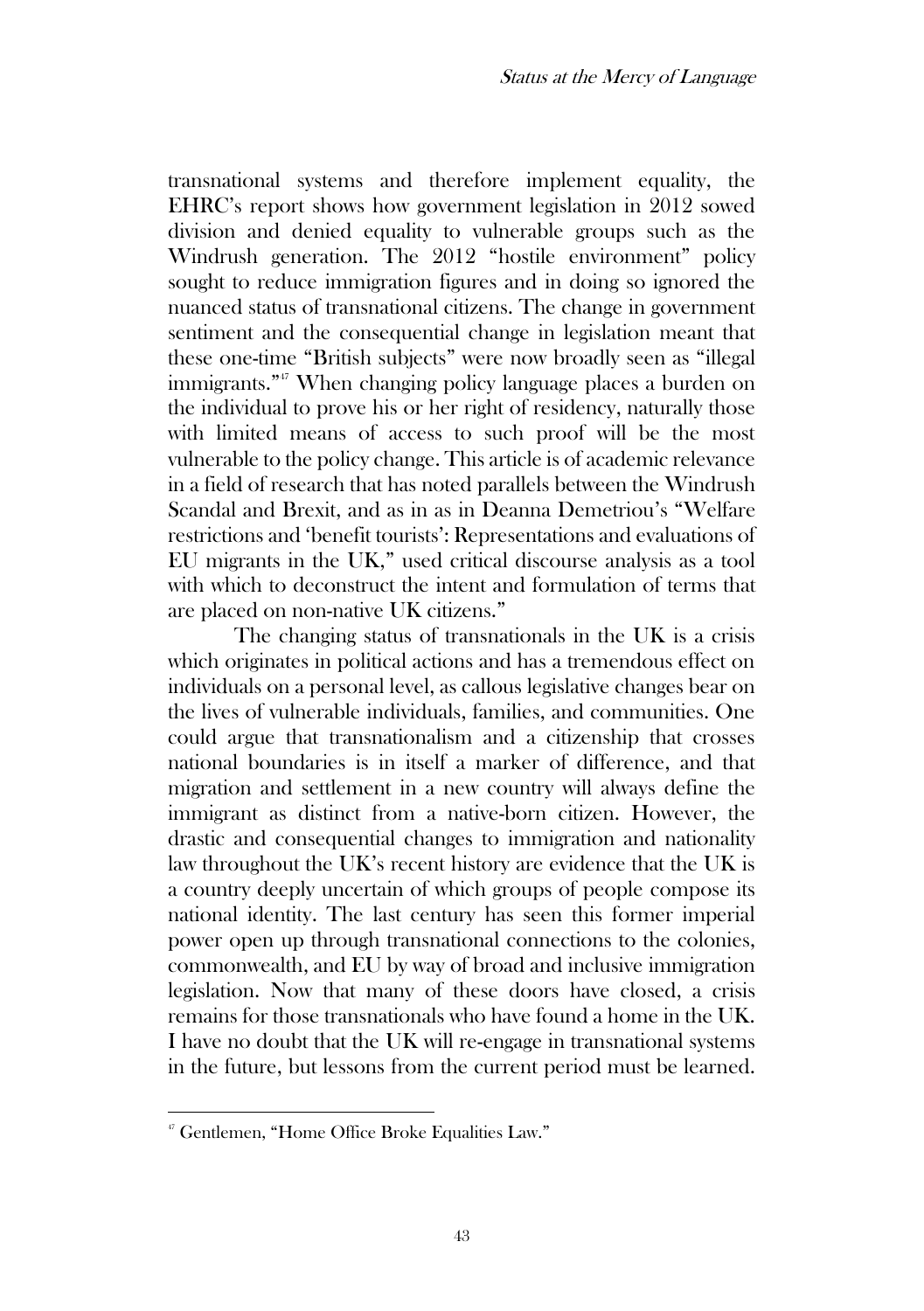transnational systems and therefore implement equality, the EHRC's report shows how government legislation in 2012 sowed division and denied equality to vulnerable groups such as the Windrush generation. The 2012 "hostile environment" policy sought to reduce immigration figures and in doing so ignored the nuanced status of transnational citizens. The change in government sentiment and the consequential change in legislation meant that these one-time "British subjects" were now broadly seen as "illegal immigrants." <sup>47</sup> When changing policy language places a burden on the individual to prove his or her right of residency, naturally those with limited means of access to such proof will be the most vulnerable to the policy change. This article is of academic relevance in a field of research that has noted parallels between the Windrush Scandal and Brexit, and as in as in Deanna Demetriou's "Welfare restrictions and 'benefit tourists': Representations and evaluations of EU migrants in the UK," used critical discourse analysis as a tool with which to deconstruct the intent and formulation of terms that are placed on non-native UK citizens."

The changing status of transnationals in the UK is a crisis which originates in political actions and has a tremendous effect on individuals on a personal level, as callous legislative changes bear on the lives of vulnerable individuals, families, and communities. One could argue that transnationalism and a citizenship that crosses national boundaries is in itself a marker of difference, and that migration and settlement in a new country will always define the immigrant as distinct from a native-born citizen. However, the drastic and consequential changes to immigration and nationality law throughout the UK's recent history are evidence that the UK is a country deeply uncertain of which groups of people compose its national identity. The last century has seen this former imperial power open up through transnational connections to the colonies, commonwealth, and EU by way of broad and inclusive immigration legislation. Now that many of these doors have closed, a crisis remains for those transnationals who have found a home in the UK. I have no doubt that the UK will re-engage in transnational systems in the future, but lessons from the current period must be learned.

<sup>47</sup> Gentlemen, "Home Office Broke Equalities Law."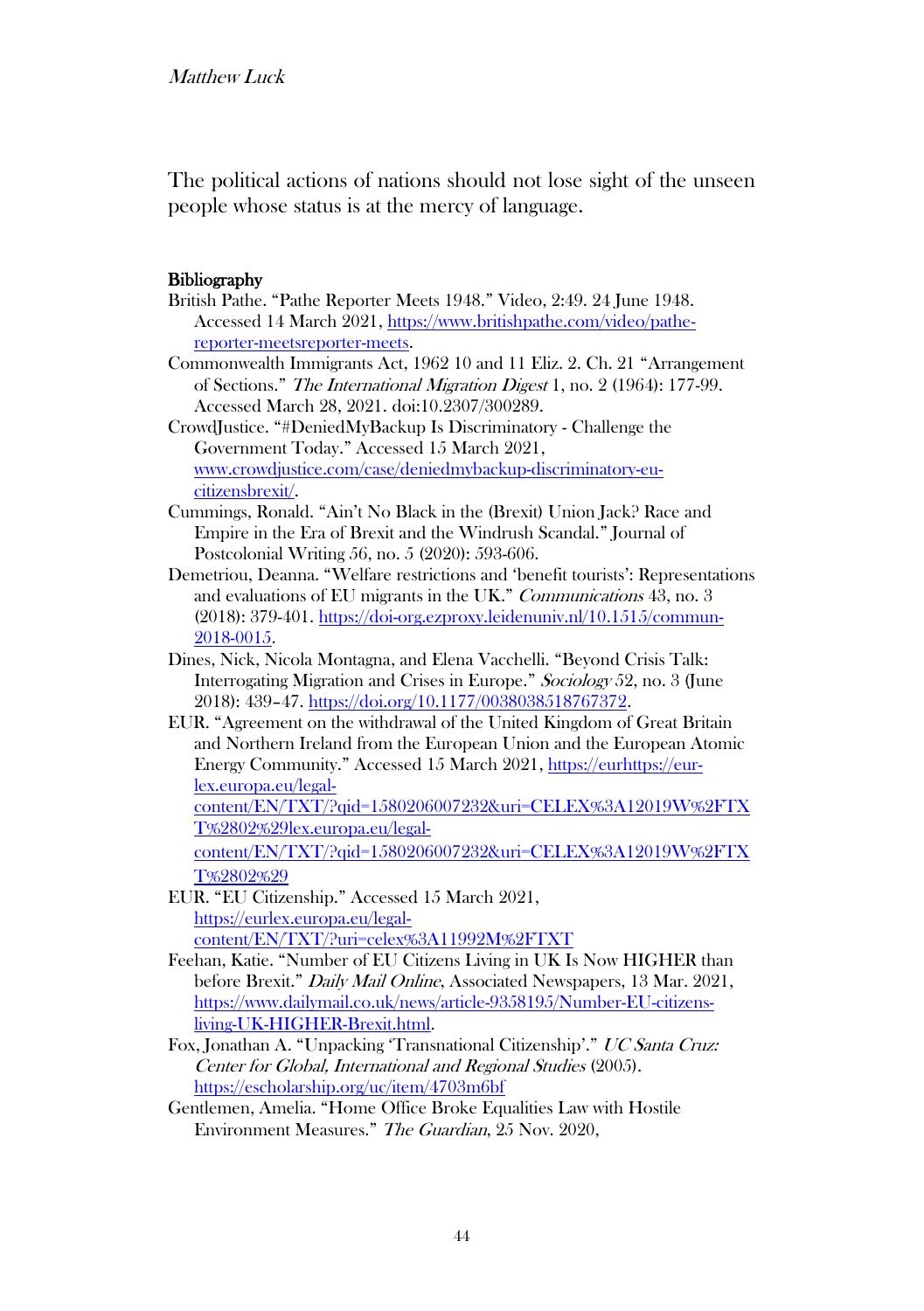The political actions of nations should not lose sight of the unseen people whose status is at the mercy of language.

#### **Bibliography**

- British Pathe. "Pathe Reporter Meets 1948." Video, 2:49. 24 June 1948. Accessed 14 March 2021, https://www.britishpathe.com/video/pathereporter-meetsreporter-meets.
- Commonwealth Immigrants Act, 1962 10 and 11 Eliz. 2. Ch. 21 "Arrangement of Sections." The International Migration Digest 1, no. 2 (1964): 177-99. Accessed March 28, 2021. doi:10.2307/300289.
- CrowdJustice. "#DeniedMyBackup Is Discriminatory Challenge the Government Today." Accessed 15 March 2021, www.crowdjustice.com/case/deniedmybackup-discriminatory-eucitizensbrexit/.
- Cummings, Ronald. "Ain't No Black in the (Brexit) Union Jack? Race and Empire in the Era of Brexit and the Windrush Scandal." Journal of Postcolonial Writing 56, no. 5 (2020): 593-606.
- Demetriou, Deanna. "Welfare restrictions and 'benefit tourists': Representations and evaluations of EU migrants in the UK." Communications 43, no. 3 (2018): 379-401. [https://doi-org.ezproxy.leidenuniv.nl/10.1515/commun-](https://doi-org.ezproxy.leidenuniv.nl/10.1515/commun-2018-0015)[2018-0015.](https://doi-org.ezproxy.leidenuniv.nl/10.1515/commun-2018-0015)
- Dines, Nick, Nicola Montagna, and Elena Vacchelli. "Beyond Crisis Talk: Interrogating Migration and Crises in Europe." Sociology 52, no. 3 (June 2018): 439–47. https://doi.org/10.1177/0038038518767372.
- EUR. "Agreement on the withdrawal of the United Kingdom of Great Britain and Northern Ireland from the European Union and the European Atomic Energy Community." Accessed 15 March 2021, [https://eurhttps://eur](https://eur-lex.europa.eu/legal-content/EN/TXT/?qid=1580206007232&uri=CELEX%3A12019W%2FTXT%2802%29)[lex.europa.eu/legal-](https://eur-lex.europa.eu/legal-content/EN/TXT/?qid=1580206007232&uri=CELEX%3A12019W%2FTXT%2802%29)

[content/EN/TXT/?qid=1580206007232&uri=CELEX%3A12019W%2FTX](https://eur-lex.europa.eu/legal-content/EN/TXT/?qid=1580206007232&uri=CELEX%3A12019W%2FTXT%2802%29) [T%2802%29lex.europa.eu/legal-](https://eur-lex.europa.eu/legal-content/EN/TXT/?qid=1580206007232&uri=CELEX%3A12019W%2FTXT%2802%29)

[content/EN/TXT/?qid=1580206007232&uri=CELEX%3A12019W%2FTX](https://eur-lex.europa.eu/legal-content/EN/TXT/?qid=1580206007232&uri=CELEX%3A12019W%2FTXT%2802%29)  [T%2802%29](https://eur-lex.europa.eu/legal-content/EN/TXT/?qid=1580206007232&uri=CELEX%3A12019W%2FTXT%2802%29)

- EUR. "EU Citizenship." Accessed 15 March 2021, [https://eurlex.europa.eu/legal](https://eurlex.europa.eu/legal-content/EN/TXT/?uri=celex%3A11992M%2FTXT)[content/EN/TXT/?uri=celex%3A11992M%2FTXT](https://eurlex.europa.eu/legal-content/EN/TXT/?uri=celex%3A11992M%2FTXT)
- Feehan, Katie. "Number of EU Citizens Living in UK Is Now HIGHER than before Brexit." Daily Mail Online, Associated Newspapers, 13 Mar. 2021, [https://www.dailymail.co.uk/news/article-9358195/Number-EU-citizens](https://www.dailymail.co.uk/news/article-9358195/Number-EU-citizens-living-UK-HIGHER-Brexit.html)[living-UK-HIGHER-Brexit.html.](https://www.dailymail.co.uk/news/article-9358195/Number-EU-citizens-living-UK-HIGHER-Brexit.html)
- Fox, Jonathan A. "Unpacking 'Transnational Citizenship'." UC Santa Cruz: Center for Global, International and Regional Studies (2005). <https://escholarship.org/uc/item/4703m6bf>
- Gentlemen, Amelia. "Home Office Broke Equalities Law with Hostile Environment Measures." The Guardian, 25 Nov. 2020,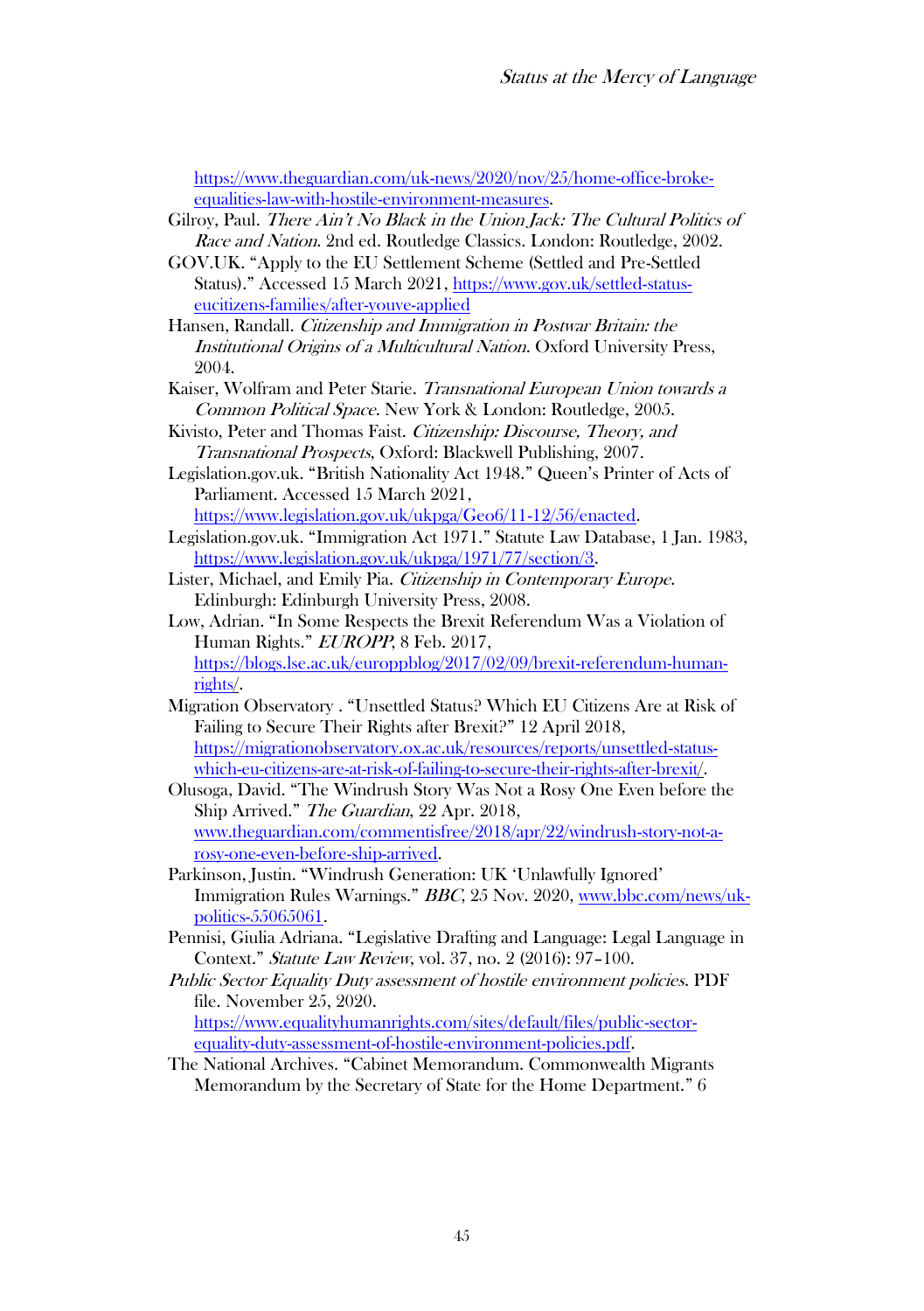[https://www.theguardian.com/uk-news/2020/nov/25/home-office-broke](https://www.theguardian.com/uk-news/2020/nov/25/home-office-broke-equalities-law-with-hostile-environment-measures)[equalities-law-with-hostile-environment-measures.](https://www.theguardian.com/uk-news/2020/nov/25/home-office-broke-equalities-law-with-hostile-environment-measures)

Gilroy, Paul. There Ain't No Black in the Union Jack: The Cultural Politics of Race and Nation. 2nd ed. Routledge Classics. London: Routledge. 2002.

GOV.UK. "Apply to the EU Settlement Scheme (Settled and Pre-Settled Status)." Accessed 15 March 2021[, https://www.gov.uk/settled-status](https://www.gov.uk/settled-status-eucitizens-families/after-youve-applied)[eucitizens-families/after-youve-applied](https://www.gov.uk/settled-status-eucitizens-families/after-youve-applied)

Hansen, Randall. Citizenship and Immigration in Postwar Britain: the Institutional Origins of a Multicultural Nation. Oxford University Press, 2004.

Kaiser, Wolfram and Peter Starie. Transnational European Union towards a Common Political Space. New York & London: Routledge, 2005.

Kivisto, Peter and Thomas Faist. Citizenship: Discourse, Theory, and Transnational Prospects, Oxford: Blackwell Publishing, 2007.

Legislation.gov.uk. "British Nationality Act 1948." Queen's Printer of Acts of Parliament. Accessed 15 March 2021,

[https://www.legislation.gov.uk/ukpga/Geo6/11-12/56/enacted.](https://www.legislation.gov.uk/ukpga/Geo6/11-12/56/enacted) Legislation.gov.uk. "Immigration Act 1971." Statute Law Database, 1 Jan. 1983, [https://www.legislation.gov.uk/ukpga/1971/77/section/3.](https://www.legislation.gov.uk/ukpga/1971/77/section/3)

Lister, Michael, and Emily Pia. Citizenship in Contemporary Europe. Edinburgh: Edinburgh University Press, 2008.

Low, Adrian. "In Some Respects the Brexit Referendum Was a Violation of Human Rights." EUROPP, 8 Feb. 2017, [https://blogs.lse.ac.uk/europpblog/2017/02/09/brexit-referendum-human](https://blogs.lse.ac.uk/europpblog/2017/02/09/brexit-referendum-human-rights/)[rights/.](https://blogs.lse.ac.uk/europpblog/2017/02/09/brexit-referendum-human-rights/)

Migration Observatory . "Unsettled Status? Which EU Citizens Are at Risk of Failing to Secure Their Rights after Brexit?" 12 April 2018, [https://migrationobservatory.ox.ac.uk/resources/reports/unsettled-status](https://migrationobservatory.ox.ac.uk/resources/reports/unsettled-status-which-eu-citizens-are-at-risk-of-failing-to-secure-their-rights-after-brexit/)[which-eu-citizens-are-at-risk-of-failing-to-secure-their-rights-after-brexit/.](https://migrationobservatory.ox.ac.uk/resources/reports/unsettled-status-which-eu-citizens-are-at-risk-of-failing-to-secure-their-rights-after-brexit/)

Olusoga, David. "The Windrush Story Was Not a Rosy One Even before the Ship Arrived." The Guardian, 22 Apr. 2018, www.theguardian.com/commentisfree/2018/apr/22/windrush-story-not-arosy-one-even-before-ship-arrived.

Parkinson, Justin. "Windrush Generation: UK 'Unlawfully Ignored' Immigration Rules Warnings." BBC, 25 Nov. 2020[, www.bbc.com/news/uk](http://www.bbc.com/news/uk-politics-55065061)[politics-55065061.](http://www.bbc.com/news/uk-politics-55065061)

Pennisi, Giulia Adriana. "Legislative Drafting and Language: Legal Language in Context." Statute Law Review, vol. 37, no. 2 (2016): 97–100.

Public Sector Equality Duty assessment of hostile environment policies. PDF file. November 25, 2020. [https://www.equalityhumanrights.com/sites/default/files/public-sector](https://www.equalityhumanrights.com/sites/default/files/public-sector-equality-duty-assessment-of-hostile-environment-policies.pdf)[equality-duty-assessment-of-hostile-environment-policies.pdf.](https://www.equalityhumanrights.com/sites/default/files/public-sector-equality-duty-assessment-of-hostile-environment-policies.pdf)

The National Archives. "Cabinet Memorandum. Commonwealth Migrants Memorandum by the Secretary of State for the Home Department." 6